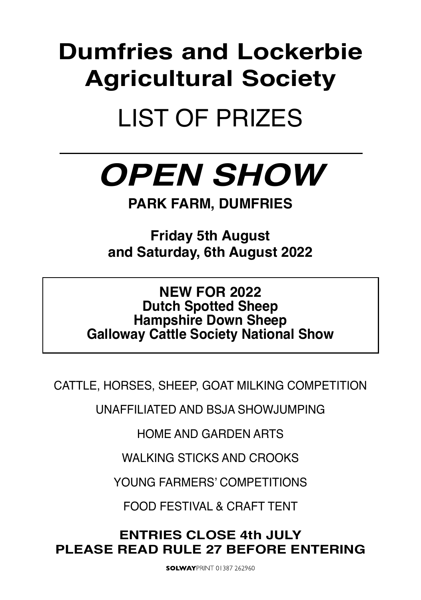# **Dumfries and Lockerbie Agricultural Society**

# LIST OF PRIZES

# *OPEN SHOW*

**PARK FARM, DUMFRIES**

**Friday 5th August and Saturday, 6th August 2022** 

## **NEW FOR 2022 Dutch Spotted Sheep Hampshire Down Sheep Galloway Cattle Society National Show**

CATTLE, HORSES, SHEEP, GOAT MILKING COMPETITION

UNAFFILIATED AND BSJA SHOWJUMPING

HOME AND GARDEN ARTS

WAI KING STICKS AND CROOKS

YOUNG FARMERS' COMPETITIONS

FOOD FESTIVAL & CRAFT TENT

## **ENTRIES CLOSE 4th JULY PLEASE READ RULE 27 BEFORE ENTERING**

**SOLWAYPRINT 01387 262960**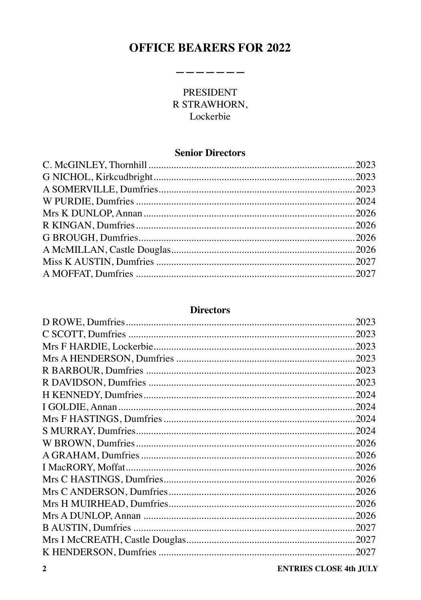## **OFFICE BEARERS FOR 2022**

-------

L.

### **PRESIDENT** R STRAWHORN, Lockerbie

### **Senior Directors**

### **Directors**

| 2023  |
|-------|
| 2023  |
| .2023 |
| .2023 |
| 2023  |
| .2023 |
| .2024 |
| .2024 |
| .2024 |
| .2024 |
|       |
| 2026  |
| .2026 |
| .2026 |
| 2026  |
| .2026 |
|       |
| .2027 |
| .2027 |
| .2027 |
|       |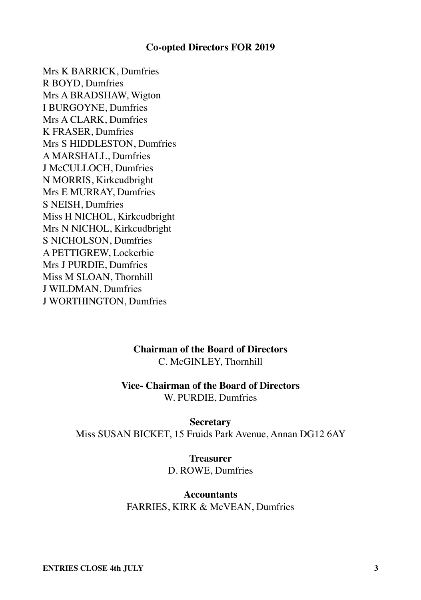#### **Co-opted Directors FOR 2019**

Mrs K BARRICK, Dumfries R BOYD, Dumfries Mrs A BRADSHAW, Wigton I BURGOYNE, Dumfries Mrs A CLARK, Dumfries K FRASER, Dumfries Mrs S HIDDLESTON, Dumfries A MARSHALL, Dumfries J McCULLOCH, Dumfries N MORRIS, Kirkcudbright Mrs E MURRAY, Dumfries S NEISH, Dumfries Miss H NICHOL, Kirkcudbright Mrs N NICHOL, Kirkcudbright S NICHOLSON, Dumfries A PETTIGREW, Lockerbie Mrs J PURDIE, Dumfries Miss M SLOAN, Thornhill J WILDMAN, Dumfries J WORTHINGTON, Dumfries

#### **Chairman of the Board of Directors** C. McGINLEY, Thornhill

## **Vice- Chairman of the Board of Directors**

W. PURDIE, Dumfries

#### **Secretary**

Miss SUSAN BICKET, 15 Fruids Park Avenue, Annan DG12 6AY

#### **Treasurer** D. ROWE, Dumfries

#### **Accountants** FARRIES, KIRK & McVEAN, Dumfries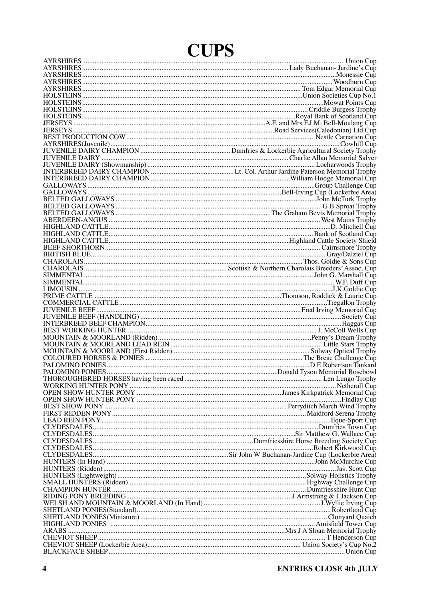## **CUPS**

| TO VENILE DAIRY CHAMPION<br>TO VENILE DAIRY (Showmanship)<br>IUVENILE DAIRY (Showmanship)<br>IUVENILE DAIRY (Showmanship)<br>INTERBREED DAIRY CHAMPION<br>INTERBREED DAIRY CHAMPION<br>INTERBREED DAIRY CHAMPION<br>CALLOWAYS<br>CALLOWAYS<br>CA |  |
|--------------------------------------------------------------------------------------------------------------------------------------------------------------------------------------------------------------------------------------------------|--|
|                                                                                                                                                                                                                                                  |  |
|                                                                                                                                                                                                                                                  |  |
|                                                                                                                                                                                                                                                  |  |
|                                                                                                                                                                                                                                                  |  |
|                                                                                                                                                                                                                                                  |  |
|                                                                                                                                                                                                                                                  |  |
|                                                                                                                                                                                                                                                  |  |
|                                                                                                                                                                                                                                                  |  |
|                                                                                                                                                                                                                                                  |  |
|                                                                                                                                                                                                                                                  |  |
|                                                                                                                                                                                                                                                  |  |
|                                                                                                                                                                                                                                                  |  |
|                                                                                                                                                                                                                                                  |  |
|                                                                                                                                                                                                                                                  |  |
|                                                                                                                                                                                                                                                  |  |
|                                                                                                                                                                                                                                                  |  |
|                                                                                                                                                                                                                                                  |  |
|                                                                                                                                                                                                                                                  |  |
|                                                                                                                                                                                                                                                  |  |
|                                                                                                                                                                                                                                                  |  |
|                                                                                                                                                                                                                                                  |  |
|                                                                                                                                                                                                                                                  |  |
|                                                                                                                                                                                                                                                  |  |
|                                                                                                                                                                                                                                                  |  |
|                                                                                                                                                                                                                                                  |  |
|                                                                                                                                                                                                                                                  |  |
|                                                                                                                                                                                                                                                  |  |
|                                                                                                                                                                                                                                                  |  |
|                                                                                                                                                                                                                                                  |  |
|                                                                                                                                                                                                                                                  |  |
|                                                                                                                                                                                                                                                  |  |
| OPEN SHOW HUNTER PONY<br>BEST SHOW PONY<br>BEST SHOW PONY<br>ERS RIDDEN PONY<br>LEAD REIN PONY<br>LEAD REIN PONY<br>LEAD REIN PONY<br>LEAD REIN PONY<br>LEAD REIN PONY<br>LEAD REIN PONY<br>LEAD REIN PONY                                       |  |
|                                                                                                                                                                                                                                                  |  |
|                                                                                                                                                                                                                                                  |  |
|                                                                                                                                                                                                                                                  |  |
|                                                                                                                                                                                                                                                  |  |
|                                                                                                                                                                                                                                                  |  |
|                                                                                                                                                                                                                                                  |  |
|                                                                                                                                                                                                                                                  |  |
|                                                                                                                                                                                                                                                  |  |
|                                                                                                                                                                                                                                                  |  |
|                                                                                                                                                                                                                                                  |  |
|                                                                                                                                                                                                                                                  |  |
|                                                                                                                                                                                                                                                  |  |
|                                                                                                                                                                                                                                                  |  |
|                                                                                                                                                                                                                                                  |  |
|                                                                                                                                                                                                                                                  |  |
|                                                                                                                                                                                                                                                  |  |
| Mrs J A Sloan Memorial Trophy<br>Mrs J A Sloan Memorial Trophy<br>Mrs J A Sloan Memorial Trophy<br>CHEVIOT SHEEP (Lockerbie Area)                                                                                                                |  |
|                                                                                                                                                                                                                                                  |  |
|                                                                                                                                                                                                                                                  |  |
|                                                                                                                                                                                                                                                  |  |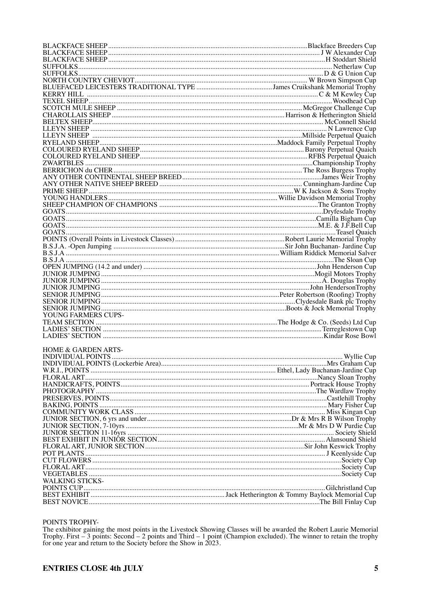| NORTH COUNTRY CHEVIOT <b>COUNTRY CHEVIOT</b> CONTROL CONTROL CONTROL CONTROL COUNTRY CHEVIOT <b>COUNTRY CHEVIOT</b> COUNTRY CHEVIOT <b>COUNTRY CHEVIOT</b> COUNTRY CHEVIOT CONTROL CONTROL CONTROL CONTROL CONTROL CONTROL CONTROL CONTROL CO |  |
|-----------------------------------------------------------------------------------------------------------------------------------------------------------------------------------------------------------------------------------------------|--|
|                                                                                                                                                                                                                                               |  |
|                                                                                                                                                                                                                                               |  |
|                                                                                                                                                                                                                                               |  |
|                                                                                                                                                                                                                                               |  |
|                                                                                                                                                                                                                                               |  |
|                                                                                                                                                                                                                                               |  |
|                                                                                                                                                                                                                                               |  |
|                                                                                                                                                                                                                                               |  |
|                                                                                                                                                                                                                                               |  |
|                                                                                                                                                                                                                                               |  |
|                                                                                                                                                                                                                                               |  |
|                                                                                                                                                                                                                                               |  |
|                                                                                                                                                                                                                                               |  |
|                                                                                                                                                                                                                                               |  |
|                                                                                                                                                                                                                                               |  |
|                                                                                                                                                                                                                                               |  |
|                                                                                                                                                                                                                                               |  |
|                                                                                                                                                                                                                                               |  |
|                                                                                                                                                                                                                                               |  |
|                                                                                                                                                                                                                                               |  |
|                                                                                                                                                                                                                                               |  |
|                                                                                                                                                                                                                                               |  |
|                                                                                                                                                                                                                                               |  |
|                                                                                                                                                                                                                                               |  |
|                                                                                                                                                                                                                                               |  |
|                                                                                                                                                                                                                                               |  |
|                                                                                                                                                                                                                                               |  |
|                                                                                                                                                                                                                                               |  |
|                                                                                                                                                                                                                                               |  |
|                                                                                                                                                                                                                                               |  |
|                                                                                                                                                                                                                                               |  |
| YOUNG FARMERS CUPS-                                                                                                                                                                                                                           |  |
|                                                                                                                                                                                                                                               |  |
|                                                                                                                                                                                                                                               |  |
|                                                                                                                                                                                                                                               |  |
|                                                                                                                                                                                                                                               |  |
| <b>HOME &amp; GARDEN ARTS-</b>                                                                                                                                                                                                                |  |
|                                                                                                                                                                                                                                               |  |
|                                                                                                                                                                                                                                               |  |
|                                                                                                                                                                                                                                               |  |
|                                                                                                                                                                                                                                               |  |
|                                                                                                                                                                                                                                               |  |
|                                                                                                                                                                                                                                               |  |
|                                                                                                                                                                                                                                               |  |
|                                                                                                                                                                                                                                               |  |
|                                                                                                                                                                                                                                               |  |
|                                                                                                                                                                                                                                               |  |
|                                                                                                                                                                                                                                               |  |
|                                                                                                                                                                                                                                               |  |
|                                                                                                                                                                                                                                               |  |
|                                                                                                                                                                                                                                               |  |
|                                                                                                                                                                                                                                               |  |
|                                                                                                                                                                                                                                               |  |
|                                                                                                                                                                                                                                               |  |
| WALKING STICKS-                                                                                                                                                                                                                               |  |
|                                                                                                                                                                                                                                               |  |
|                                                                                                                                                                                                                                               |  |
|                                                                                                                                                                                                                                               |  |

#### POINTS TROPHY-

PUINTS TROPH T-<br>
The exhibitor gaining the most points in the Livestock Showing Classes will be awarded the Robert Laurie Memorial<br>
Trophy. First – 3 points: Second – 2 points and Third – 1 point (Champion excluded). The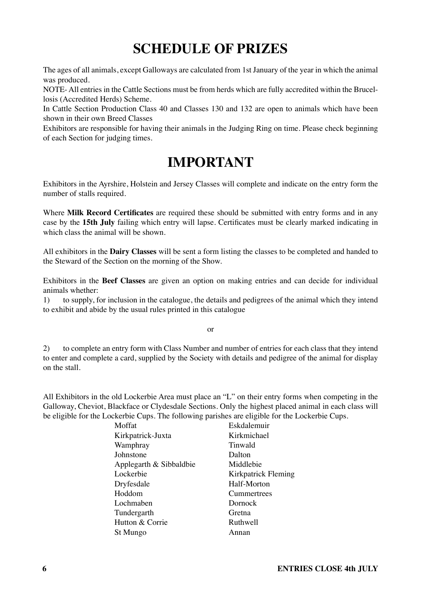## **SCHEDULE OF PRIZES**

The ages of all animals, except Galloways are calculated from 1st January of the year in which the animal was produced.

NOTE- All entries in the Cattle Sections must be from herds which are fully accredited within the Brucellosis (Accredited Herds) Scheme.

In Cattle Section Production Class 40 and Classes 130 and 132 are open to animals which have been shown in their own Breed Classes

Exhibitors are responsible for having their animals in the Judging Ring on time. Please check beginning of each Section for judging times.

## **IMPORTANT**

Exhibitors in the Ayrshire, Holstein and Jersey Classes will complete and indicate on the entry form the number of stalls required.

Where **Milk Record Certificates** are required these should be submitted with entry forms and in any case by the **15th July** failing which entry will lapse. Certificates must be clearly marked indicating in which class the animal will be shown.

All exhibitors in the **Dairy Classes** will be sent a form listing the classes to be completed and handed to the Steward of the Section on the morning of the Show.

Exhibitors in the **Beef Classes** are given an option on making entries and can decide for individual animals whether:

1) to supply, for inclusion in the catalogue, the details and pedigrees of the animal which they intend to exhibit and abide by the usual rules printed in this catalogue

or

2) to complete an entry form with Class Number and number of entries for each class that they intend to enter and complete a card, supplied by the Society with details and pedigree of the animal for display on the stall.

All Exhibitors in the old Lockerbie Area must place an "L" on their entry forms when competing in the Galloway, Cheviot, Blackface or Clydesdale Sections. Only the highest placed animal in each class will be eligible for the Lockerbie Cups. The following parishes are eligible for the Lockerbie Cups.

| Moffat                  | Eskdalemuir         |
|-------------------------|---------------------|
| Kirkpatrick-Juxta       | Kirkmichael         |
| Wamphray                | Tinwald             |
| Johnstone               | Dalton              |
| Applegarth & Sibbaldbie | Middlebie           |
| Lockerbie               | Kirkpatrick Fleming |
| Dryfesdale              | Half-Morton         |
| Hoddom                  | Cummertrees         |
| Lochmaben               | Dornock             |
| Tundergarth             | Gretna              |
| Hutton & Corrie         | Ruthwell            |
| St Mungo                | Annan               |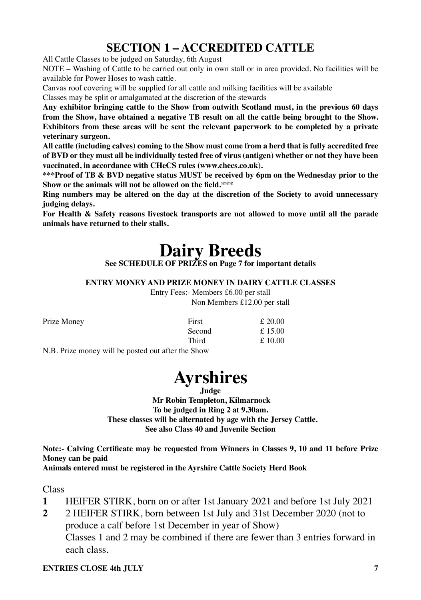## **SECTION 1 – ACCREDITED CATTLE**

All Cattle Classes to be judged on Saturday, 6th August

NOTE – Washing of Cattle to be carried out only in own stall or in area provided. No facilities will be available for Power Hoses to wash cattle.

Canvas roof covering will be supplied for all cattle and milking facilities will be available

Classes may be split or amalgamated at the discretion of the stewards

**Any exhibitor bringing cattle to the Show from outwith Scotland must, in the previous 60 days from the Show, have obtained a negative TB result on all the cattle being brought to the Show. Exhibitors from these areas will be sent the relevant paperwork to be completed by a private veterinary surgeon.**

**All cattle (including calves) coming to the Show must come from a herd that is fully accredited free of BVD or they must all be individually tested free of virus (antigen) whether or not they have been vaccinated, in accordance with CHeCS rules (www.checs.co.uk).** 

**\*\*\*Proof of TB & BVD negative status MUST be received by 6pm on the Wednesday prior to the Show or the animals will not be allowed on the field.\*\*\***

**Ring numbers may be altered on the day at the discretion of the Society to avoid unnecessary judging delays.**

**For Health & Safety reasons livestock transports are not allowed to move until all the parade animals have returned to their stalls.**

## **Dairy Breeds**

**See SCHEDULE OF PRIZES on Page 7 for important details**

**ENTRY MONEY AND PRIZE MONEY IN DAIRY CATTLE CLASSES**

Entry Fees:- Members £6.00 per stall Non Members £12.00 per stall

| Prize Money                                                                                                                                                                                                                                                                                                                                     | First  | £20.00 |
|-------------------------------------------------------------------------------------------------------------------------------------------------------------------------------------------------------------------------------------------------------------------------------------------------------------------------------------------------|--------|--------|
|                                                                                                                                                                                                                                                                                                                                                 | Second | £15.00 |
|                                                                                                                                                                                                                                                                                                                                                 | Third  | £10.00 |
| $\mathbf{M} \mathbf{D}$ $\mathbf{D}$ , $\mathbf{D}$ , $\mathbf{D}$ , $\mathbf{D}$ , $\mathbf{D}$ , $\mathbf{D}$ , $\mathbf{D}$ , $\mathbf{D}$ , $\mathbf{D}$ , $\mathbf{D}$ , $\mathbf{D}$ , $\mathbf{D}$ , $\mathbf{D}$ , $\mathbf{D}$ , $\mathbf{D}$ , $\mathbf{D}$ , $\mathbf{D}$ , $\mathbf{D}$ , $\mathbf{D}$ , $\mathbf{D}$ , $\mathbf{D$ |        |        |

N.B. Prize money will be posted out after the Show



**Judge**

 **Mr Robin Templeton, Kilmarnock To be judged in Ring 2 at 9.30am. These classes will be alternated by age with the Jersey Cattle. See also Class 40 and Juvenile Section**

**Note:- Calving Certificate may be requested from Winners in Classes 9, 10 and 11 before Prize Money can be paid**

**Animals entered must be registered in the Ayrshire Cattle Society Herd Book**

Class

- **1** HEIFER STIRK, born on or after 1st January 2021 and before 1st July 2021
- **2** 2 HEIFER STIRK, born between 1st July and 31st December 2020 (not to produce a calf before 1st December in year of Show)

Classes 1 and 2 may be combined if there are fewer than 3 entries forward in each class.

#### **ENTRIES CLOSE 4th HILY** 7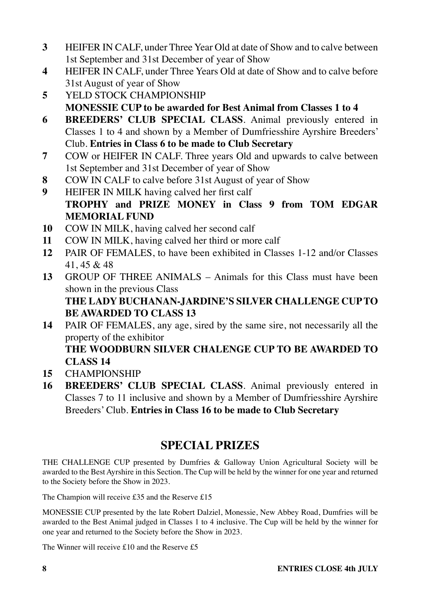- **3** HEIFER IN CALF, under Three Year Old at date of Show and to calve between 1st September and 31st December of year of Show
- **4** HEIFER IN CALF, under Three Years Old at date of Show and to calve before 31st August of year of Show
- **5** YELD STOCK CHAMPIONSHIP **MONESSIE CUP to be awarded for Best Animal from Classes 1 to 4**
- **6 BREEDERS' CLUB SPECIAL CLASS**. Animal previously entered in Classes 1 to 4 and shown by a Member of Dumfriesshire Ayrshire Breeders' Club. **Entries in Class 6 to be made to Club Secretary**
- **7** COW or HEIFER IN CALF. Three years Old and upwards to calve between 1st September and 31st December of year of Show
- **8** COW IN CALF to calve before 31st August of year of Show
- **9** HEIFER IN MILK having calved her first calf **TROPHY and PRIZE MONEY in Class 9 from TOM EDGAR MEMORIAL FUND**
- **10** COW IN MILK, having calved her second calf
- **11** COW IN MILK, having calved her third or more calf
- **12** PAIR OF FEMALES, to have been exhibited in Classes 1-12 and/or Classes 41, 45 & 48
- **13** GROUP OF THREE ANIMALS Animals for this Class must have been shown in the previous Class

### **THE LADY BUCHANAN-JARDINE'S SILVER CHALLENGE CUP TO BE AWARDED TO CLASS 13**

**14** PAIR OF FEMALES, any age, sired by the same sire, not necessarily all the property of the exhibitor

**THE WOODBURN SILVER CHALENGE CUP TO BE AWARDED TO CLASS 14**

- **15** CHAMPIONSHIP
- **16 BREEDERS' CLUB SPECIAL CLASS**. Animal previously entered in Classes 7 to 11 inclusive and shown by a Member of Dumfriesshire Ayrshire Breeders' Club. **Entries in Class 16 to be made to Club Secretary**

## **SPECIAL PRIZES**

THE CHALLENGE CUP presented by Dumfries & Galloway Union Agricultural Society will be awarded to the Best Ayrshire in this Section. The Cup will be held by the winner for one year and returned to the Society before the Show in 2023.

The Champion will receive £35 and the Reserve £15

MONESSIE CUP presented by the late Robert Dalziel, Monessie, New Abbey Road, Dumfries will be awarded to the Best Animal judged in Classes 1 to 4 inclusive. The Cup will be held by the winner for one year and returned to the Society before the Show in 2023.

The Winner will receive £10 and the Reserve £5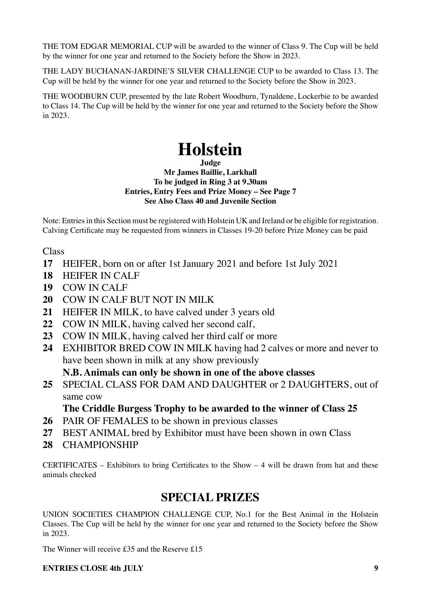THE TOM EDGAR MEMORIAL CUP will be awarded to the winner of Class 9. The Cup will be held by the winner for one year and returned to the Society before the Show in 2023.

THE LADY BUCHANAN-JARDINE'S SILVER CHALLENGE CUP to be awarded to Class 13. The Cup will be held by the winner for one year and returned to the Society before the Show in 2023.

THE WOODBURN CUP, presented by the late Robert Woodburn, Tynaldene, Lockerbie to be awarded to Class 14. The Cup will be held by the winner for one year and returned to the Society before the Show in 2023.

## **Holstein**

**Judge**

**Mr James Baillie, Larkhall To be judged in Ring 3 at 9.30am Entries, Entry Fees and Prize Money – See Page 7 See Also Class 40 and Juvenile Section**

Note: Entries in this Section must be registered with Holstein UK and Ireland or be eligible for registration. Calving Certificate may be requested from winners in Classes 19-20 before Prize Money can be paid

Class

- **17** HEIFER, born on or after 1st January 2021 and before 1st July 2021
- **18** HEIFER IN CALF
- **19** COW IN CALF
- **20** COW IN CALF BUT NOT IN MILK
- **21** HEIFER IN MILK, to have calved under 3 years old
- **22** COW IN MILK, having calved her second calf,
- **23** COW IN MILK, having calved her third calf or more
- **24** EXHIBITOR BRED COW IN MILK having had 2 calves or more and never to have been shown in milk at any show previously

**N.B. Animals can only be shown in one of the above classes**

**25** SPECIAL CLASS FOR DAM AND DAUGHTER or 2 DAUGHTERS, out of same cow

#### **The Criddle Burgess Trophy to be awarded to the winner of Class 25**

- **26** PAIR OF FEMALES to be shown in previous classes
- **27** BEST ANIMAL bred by Exhibitor must have been shown in own Class
- **28** CHAMPIONSHIP

CERTIFICATES – Exhibitors to bring Certificates to the Show  $-4$  will be drawn from hat and these animals checked

### **SPECIAL PRIZES**

UNION SOCIETIES CHAMPION CHALLENGE CUP, No.1 for the Best Animal in the Holstein Classes. The Cup will be held by the winner for one year and returned to the Society before the Show in 2023.

The Winner will receive £35 and the Reserve £15

#### **ENTRIES CLOSE 4th HILY** 9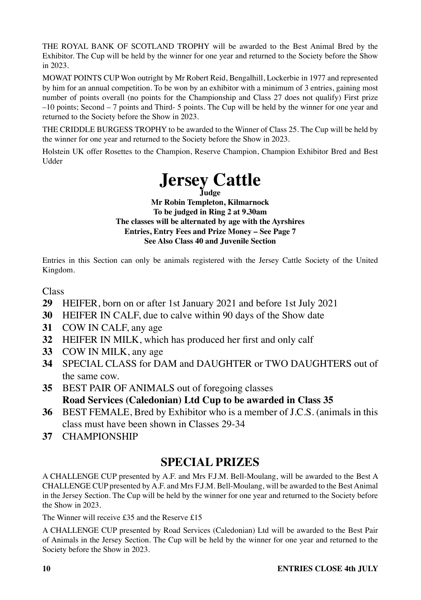THE ROYAL BANK OF SCOTLAND TROPHY will be awarded to the Best Animal Bred by the Exhibitor. The Cup will be held by the winner for one year and returned to the Society before the Show in 2023.

MOWAT POINTS CUP Won outright by Mr Robert Reid, Bengalhill, Lockerbie in 1977 and represented by him for an annual competition. To be won by an exhibitor with a minimum of 3 entries, gaining most number of points overall (no points for the Championship and Class 27 does not qualify) First prize –10 points; Second – 7 points and Third- 5 points. The Cup will be held by the winner for one year and returned to the Society before the Show in 2023.

THE CRIDDLE BURGESS TROPHY to be awarded to the Winner of Class 25. The Cup will be held by the winner for one year and returned to the Society before the Show in 2023.

Holstein UK offer Rosettes to the Champion, Reserve Champion, Champion Exhibitor Bred and Best Udder



**Mr Robin Templeton, Kilmarnock To be judged in Ring 2 at 9.30am The classes will be alternated by age with the Ayrshires Entries, Entry Fees and Prize Money – See Page 7 See Also Class 40 and Juvenile Section**

Entries in this Section can only be animals registered with the Jersey Cattle Society of the United Kingdom.

#### **Class**

- **29** HEIFER, born on or after 1st January 2021 and before 1st July 2021
- **30** HEIFER IN CALF, due to calve within 90 days of the Show date
- **31** COW IN CALF, any age
- **32** HEIFER IN MILK, which has produced her first and only calf
- **33** COW IN MILK, any age
- **34** SPECIAL CLASS for DAM and DAUGHTER or TWO DAUGHTERS out of the same cow.
- **35** BEST PAIR OF ANIMALS out of foregoing classes **Road Services (Caledonian) Ltd Cup to be awarded in Class 35**
- **36** BEST FEMALE, Bred by Exhibitor who is a member of J.C.S. (animals in this class must have been shown in Classes 29-34
- **37** CHAMPIONSHIP

### **SPECIAL PRIZES**

A CHALLENGE CUP presented by A.F. and Mrs F.J.M. Bell-Moulang, will be awarded to the Best A CHALLENGE CUP presented by A.F. and Mrs F.J.M. Bell-Moulang, will be awarded to the Best Animal in the Jersey Section. The Cup will be held by the winner for one year and returned to the Society before the Show in 2023.

The Winner will receive £35 and the Reserve £15

A CHALLENGE CUP presented by Road Services (Caledonian) Ltd will be awarded to the Best Pair of Animals in the Jersey Section. The Cup will be held by the winner for one year and returned to the Society before the Show in 2023.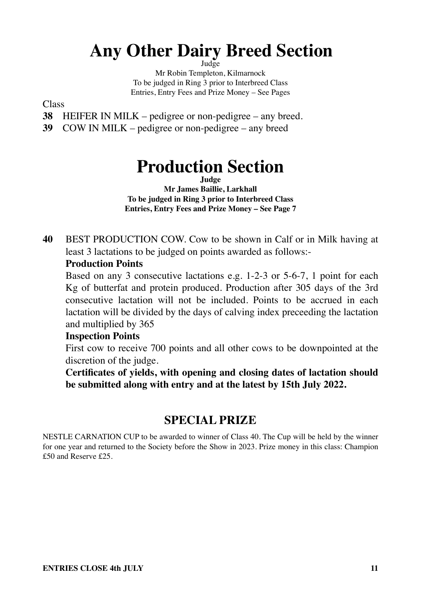## **Any Other Dairy Breed Section**

Judge

Mr Robin Templeton, Kilmarnock To be judged in Ring 3 prior to Interbreed Class Entries, Entry Fees and Prize Money – See Pages

Class

- **38** HEIFER IN MILK pedigree or non-pedigree any breed.
- **39** COW IN MILK pedigree or non-pedigree any breed

## **Production Section**

**Judge**

**Mr James Baillie, Larkhall To be judged in Ring 3 prior to Interbreed Class Entries, Entry Fees and Prize Money – See Page 7**

**40** BEST PRODUCTION COW. Cow to be shown in Calf or in Milk having at least 3 lactations to be judged on points awarded as follows:-

#### **Production Points**

Based on any 3 consecutive lactations e.g. 1-2-3 or 5-6-7, 1 point for each Kg of butterfat and protein produced. Production after 305 days of the 3rd consecutive lactation will not be included. Points to be accrued in each lactation will be divided by the days of calving index preceeding the lactation and multiplied by 365

#### **Inspection Points**

First cow to receive 700 points and all other cows to be downpointed at the discretion of the judge.

**Certificates of yields, with opening and closing dates of lactation should be submitted along with entry and at the latest by 15th July 2022.**

### **SPECIAL PRIZE**

NESTLE CARNATION CUP to be awarded to winner of Class 40. The Cup will be held by the winner for one year and returned to the Society before the Show in 2023. Prize money in this class: Champion £50 and Reserve £25.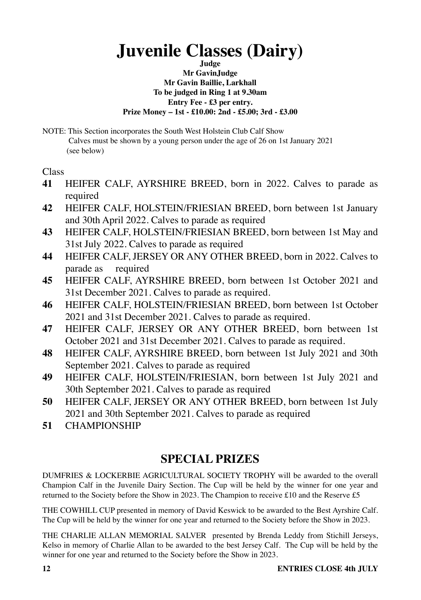## **Juvenile Classes (Dairy)**

**Judge Mr GavinJudge Mr Gavin Baillie, Larkhall To be judged in Ring 1 at 9.30am Entry Fee - £3 per entry. Prize Money – 1st - £10.00: 2nd - £5.00; 3rd - £3.00** 

NOTE: This Section incorporates the South West Holstein Club Calf Show Calves must be shown by a young person under the age of 26 on 1st January 2021 (see below)

Class

- **41** HEIFER CALF, AYRSHIRE BREED, born in 2022. Calves to parade as required
- **42** HEIFER CALF, HOLSTEIN/FRIESIAN BREED, born between 1st January and 30th April 2022. Calves to parade as required
- **43** HEIFER CALF, HOLSTEIN/FRIESIAN BREED, born between 1st May and 31st July 2022. Calves to parade as required
- **44** HEIFER CALF, JERSEY OR ANY OTHER BREED, born in 2022. Calves to parade as required
- **45** HEIFER CALF, AYRSHIRE BREED, born between 1st October 2021 and 31st December 2021. Calves to parade as required.
- **46** HEIFER CALF, HOLSTEIN/FRIESIAN BREED, born between 1st October 2021 and 31st December 2021. Calves to parade as required.
- **47** HEIFER CALF, JERSEY OR ANY OTHER BREED, born between 1st October 2021 and 31st December 2021. Calves to parade as required.
- **48** HEIFER CALF, AYRSHIRE BREED, born between 1st July 2021 and 30th September 2021. Calves to parade as required
- **49** HEIFER CALF, HOLSTEIN/FRIESIAN, born between 1st July 2021 and 30th September 2021. Calves to parade as required
- **50** HEIFER CALF, JERSEY OR ANY OTHER BREED, born between 1st July 2021 and 30th September 2021. Calves to parade as required
- **51** CHAMPIONSHIP

## **SPECIAL PRIZES**

DUMFRIES & LOCKERBIE AGRICULTURAL SOCIETY TROPHY will be awarded to the overall Champion Calf in the Juvenile Dairy Section. The Cup will be held by the winner for one year and returned to the Society before the Show in 2023. The Champion to receive £10 and the Reserve £5

THE COWHILL CUP presented in memory of David Keswick to be awarded to the Best Ayrshire Calf. The Cup will be held by the winner for one year and returned to the Society before the Show in 2023.

THE CHARLIE ALLAN MEMORIAL SALVER presented by Brenda Leddy from Stichill Jerseys, Kelso in memory of Charlie Allan to be awarded to the best Jersey Calf. The Cup will be held by the winner for one year and returned to the Society before the Show in 2023.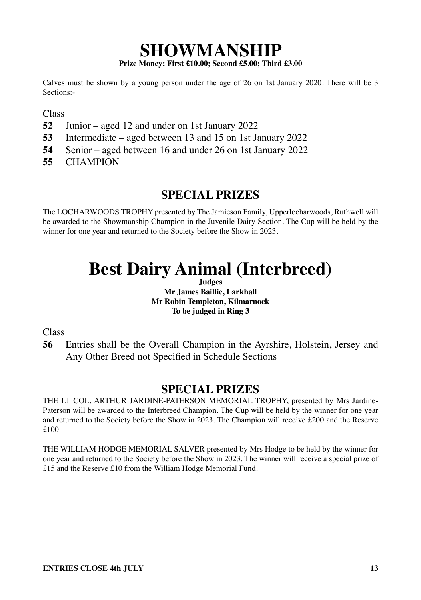### **SHOWMANSHIP Prize Money: First £10.00; Second £5.00; Third £3.00**

Calves must be shown by a young person under the age of 26 on 1st January 2020. There will be 3 Sections:-

Class

- **52** Junior aged 12 and under on 1st January 2022
- **53** Intermediate aged between 13 and 15 on 1st January 2022
- **54** Senior aged between 16 and under 26 on 1st January 2022
- **55** CHAMPION

### **SPECIAL PRIZES**

The LOCHARWOODS TROPHY presented by The Jamieson Family, Upperlocharwoods, Ruthwell will be awarded to the Showmanship Champion in the Juvenile Dairy Section. The Cup will be held by the winner for one year and returned to the Society before the Show in 2023.

## **Best Dairy Animal (Interbreed)**

**Judges Mr James Baillie, Larkhall Mr Robin Templeton, Kilmarnock To be judged in Ring 3**

Class

**56** Entries shall be the Overall Champion in the Ayrshire, Holstein, Jersey and Any Other Breed not Specified in Schedule Sections

### **SPECIAL PRIZES**

THE LT COL. ARTHUR JARDINE-PATERSON MEMORIAL TROPHY, presented by Mrs Jardine-Paterson will be awarded to the Interbreed Champion. The Cup will be held by the winner for one year and returned to the Society before the Show in 2023. The Champion will receive £200 and the Reserve £100

THE WILLIAM HODGE MEMORIAL SALVER presented by Mrs Hodge to be held by the winner for one year and returned to the Society before the Show in 2023. The winner will receive a special prize of £15 and the Reserve £10 from the William Hodge Memorial Fund.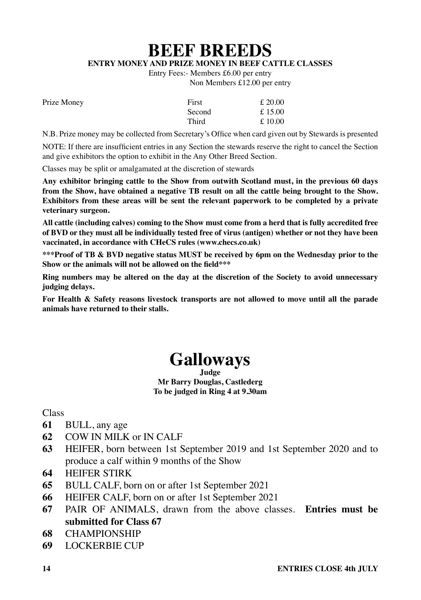**BEEF BREEDS**

**ENTRY MONEY AND PRIZE MONEY IN BEEF CATTLE CLASSES**

Entry Fees:- Members £6.00 per entry

Non Members £12.00 per entry

| Prize Money | First  | £ 20.00   |
|-------------|--------|-----------|
|             | Second | £ 15.00   |
|             | Third  | £ $10.00$ |

N.B. Prize money may be collected from Secretary's Office when card given out by Stewards is presented

NOTE: If there are insufficient entries in any Section the stewards reserve the right to cancel the Section and give exhibitors the option to exhibit in the Any Other Breed Section.

Classes may be split or amalgamated at the discretion of stewards

**Any exhibitor bringing cattle to the Show from outwith Scotland must, in the previous 60 days from the Show, have obtained a negative TB result on all the cattle being brought to the Show. Exhibitors from these areas will be sent the relevant paperwork to be completed by a private veterinary surgeon.**

**All cattle (including calves) coming to the Show must come from a herd that is fully accredited free of BVD or they must all be individually tested free of virus (antigen) whether or not they have been vaccinated, in accordance with CHeCS rules (www.checs.co.uk)**

**\*\*\*Proof of TB & BVD negative status MUST be received by 6pm on the Wednesday prior to the Show or the animals will not be allowed on the field\*\*\***

**Ring numbers may be altered on the day at the discretion of the Society to avoid unnecessary judging delays.**

**For Health & Safety reasons livestock transports are not allowed to move until all the parade animals have returned to their stalls.**

## **Galloways**

**Judge Mr Barry Douglas, Castlederg To be judged in Ring 4 at 9.30am**

Class

- **61** BULL, any age
- **62** COW IN MILK or IN CALF
- **63** HEIFER, born between 1st September 2019 and 1st September 2020 and to produce a calf within 9 months of the Show
- **64** HEIFER STIRK
- **65** BULL CALF, born on or after 1st September 2021
- **66** HEIFER CALF, born on or after 1st September 2021
- **67** PAIR OF ANIMALS, drawn from the above classes. **Entries must be submitted for Class 67**
- **68** CHAMPIONSHIP
- **69** LOCKERBIE CUP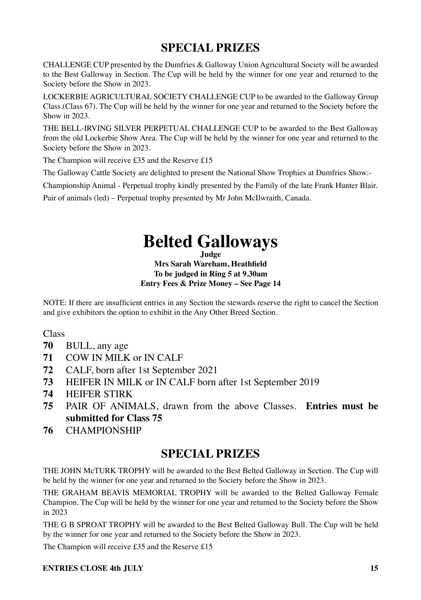CHALLENGE CUP presented by the Dumfries & Galloway Union Agricultural Society will be awarded to the Best Galloway in Section. The Cup will be held by the winner for one year and returned to the Society before the Show in 2023.

LOCKERBIE AGRICULTURAL SOCIETY CHALLENGE CUP to be awarded to the Galloway Group Class.(Class 67). The Cup will be held by the winner for one year and returned to the Society before the Show in 2023.

THE BELL-IRVING SILVER PERPETUAL CHALLENGE CUP to be awarded to the Best Galloway from the old Lockerbie Show Area. The Cup will be held by the winner for one year and returned to the Society before the Show in 2023.

The Champion will receive £35 and the Reserve £15

The Galloway Cattle Society are delighted to present the National Show Trophies at Dumfries Show:-

Championship Animal - Perpetual trophy kindly presented by the Family of the late Frank Hunter Blair. Pair of animals (led) – Perpetual trophy presented by Mr John McIlwraith, Canada.

## **Belted Galloways**

**Judge**

**Mrs Sarah Wareham, Heathfield To be judged in Ring 5 at 9.30am Entry Fees & Prize Money – See Page 14**

NOTE: If there are insufficient entries in any Section the stewards reserve the right to cancel the Section and give exhibitors the option to exhibit in the Any Other Breed Section.

Class

- **70** BULL, any age
- **71** COW IN MILK or IN CALF
- **72** CALF, born after 1st September 2021
- **73** HEIFER IN MILK or IN CALF born after 1st September 2019
- **74** HEIFER STIRK
- **75** PAIR OF ANIMALS, drawn from the above Classes. **Entries must be submitted for Class 75**
- **76** CHAMPIONSHIP

### **SPECIAL PRIZES**

THE JOHN McTURK TROPHY will be awarded to the Best Belted Galloway in Section. The Cup will be held by the winner for one year and returned to the Society before the Show in 2023.

THE GRAHAM BEAVIS MEMORIAL TROPHY will be awarded to the Belted Galloway Female Champion. The Cup will be held by the winner for one year and returned to the Society before the Show in 2023

THE G B SPROAT TROPHY will be awarded to the Best Belted Galloway Bull. The Cup will be held by the winner for one year and returned to the Society before the Show in 2023.

The Champion will receive £35 and the Reserve £15

#### **ENTRIES CLOSE 4th HILY** 15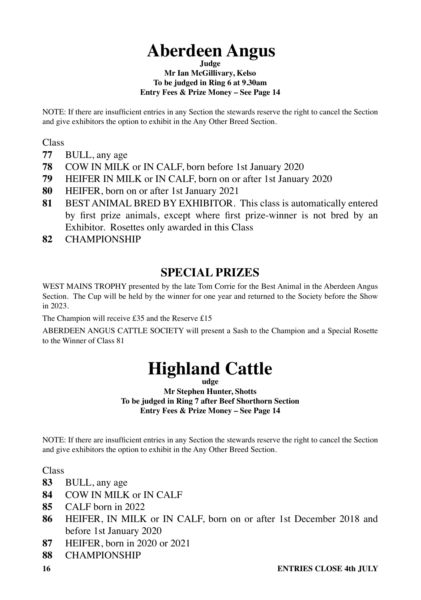## **Aberdeen Angus**

#### **Judge Mr Ian McGillivary, Kelso To be judged in Ring 6 at 9.30am Entry Fees & Prize Money – See Page 14**

NOTE: If there are insufficient entries in any Section the stewards reserve the right to cancel the Section and give exhibitors the option to exhibit in the Any Other Breed Section.

Class

- **77** BULL, any age
- **78** COW IN MILK or IN CALF, born before 1st January 2020
- **79** HEIFER IN MILK or IN CALF, born on or after 1st January 2020
- **80** HEIFER, born on or after 1st January 2021
- **81** BEST ANIMAL BRED BY EXHIBITOR. This class is automatically entered by first prize animals, except where first prize-winner is not bred by an Exhibitor. Rosettes only awarded in this Class
- **82** CHAMPIONSHIP

## **SPECIAL PRIZES**

WEST MAINS TROPHY presented by the late Tom Corrie for the Best Animal in the Aberdeen Angus Section. The Cup will be held by the winner for one year and returned to the Society before the Show in 2023.

The Champion will receive £35 and the Reserve £15

ABERDEEN ANGUS CATTLE SOCIETY will present a Sash to the Champion and a Special Rosette to the Winner of Class 81

## **Highland Cattle**

**udge**

**Mr Stephen Hunter, Shotts To be judged in Ring 7 after Beef Shorthorn Section Entry Fees & Prize Money – See Page 14**

NOTE: If there are insufficient entries in any Section the stewards reserve the right to cancel the Section and give exhibitors the option to exhibit in the Any Other Breed Section.

**Class** 

- **83** BULL, any age
- **84** COW IN MILK or IN CALF
- **85** CALF born in 2022
- **86** HEIFER, IN MILK or IN CALF, born on or after 1st December 2018 and before 1st January 2020
- **87** HEIFER, born in 2020 or 2021
- **88** CHAMPIONSHIP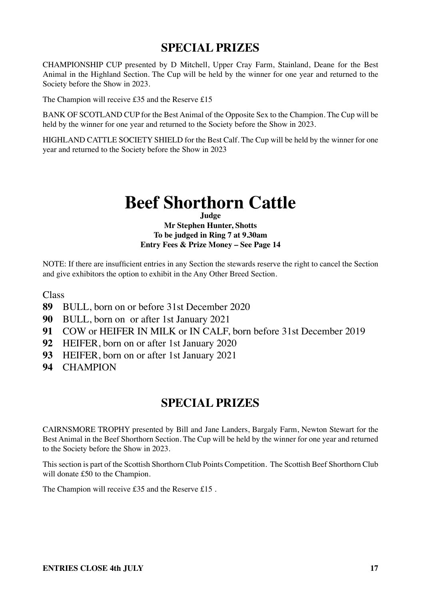CHAMPIONSHIP CUP presented by D Mitchell, Upper Cray Farm, Stainland, Deane for the Best Animal in the Highland Section. The Cup will be held by the winner for one year and returned to the Society before the Show in 2023.

The Champion will receive £35 and the Reserve £15

BANK OF SCOTLAND CUP for the Best Animal of the Opposite Sex to the Champion. The Cup will be held by the winner for one year and returned to the Society before the Show in 2023.

HIGHLAND CATTLE SOCIETY SHIELD for the Best Calf. The Cup will be held by the winner for one year and returned to the Society before the Show in 2023

## **Beef Shorthorn Cattle**

#### **Judge Mr Stephen Hunter, Shotts To be judged in Ring 7 at 9.30am Entry Fees & Prize Money – See Page 14**

NOTE: If there are insufficient entries in any Section the stewards reserve the right to cancel the Section and give exhibitors the option to exhibit in the Any Other Breed Section.

Class

- **89** BULL, born on or before 31st December 2020
- **90** BULL, born on or after 1st January 2021
- **91** COW or HEIFER IN MILK or IN CALF, born before 31st December 2019
- **92** HEIFER, born on or after 1st January 2020
- **93** HEIFER, born on or after 1st January 2021
- **94** CHAMPION

### **SPECIAL PRIZES**

CAIRNSMORE TROPHY presented by Bill and Jane Landers, Bargaly Farm, Newton Stewart for the Best Animal in the Beef Shorthorn Section. The Cup will be held by the winner for one year and returned to the Society before the Show in 2023.

This section is part of the Scottish Shorthorn Club Points Competition. The Scottish Beef Shorthorn Club will donate £50 to the Champion.

The Champion will receive £35 and the Reserve £15 .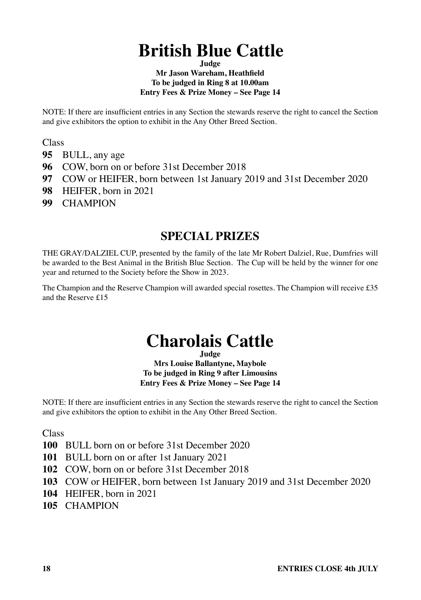## **British Blue Cattle**

#### **Judge Mr Jason Wareham, Heathfield To be judged in Ring 8 at 10.00am Entry Fees & Prize Money – See Page 14**

NOTE: If there are insufficient entries in any Section the stewards reserve the right to cancel the Section and give exhibitors the option to exhibit in the Any Other Breed Section.

Class

- **95** BULL, any age
- **96** COW, born on or before 31st December 2018
- **97** COW or HEIFER, born between 1st January 2019 and 31st December 2020
- **98** HEIFER, born in 2021
- **99** CHAMPION

### **SPECIAL PRIZES**

THE GRAY/DALZIEL CUP, presented by the family of the late Mr Robert Dalziel, Rue, Dumfries will be awarded to the Best Animal in the British Blue Section. The Cup will be held by the winner for one year and returned to the Society before the Show in 2023.

The Champion and the Reserve Champion will awarded special rosettes. The Champion will receive £35 and the Reserve £15

## **Charolais Cattle**

**Judge**

**Mrs Louise Ballantyne, Maybole To be judged in Ring 9 after Limousins Entry Fees & Prize Money – See Page 14**

NOTE: If there are insufficient entries in any Section the stewards reserve the right to cancel the Section and give exhibitors the option to exhibit in the Any Other Breed Section.

Class

- **100** BULL born on or before 31st December 2020
- **101** BULL born on or after 1st January 2021
- **102** COW, born on or before 31st December 2018
- **103** COW or HEIFER, born between 1st January 2019 and 31st December 2020
- **104** HEIFER, born in 2021
- **105** CHAMPION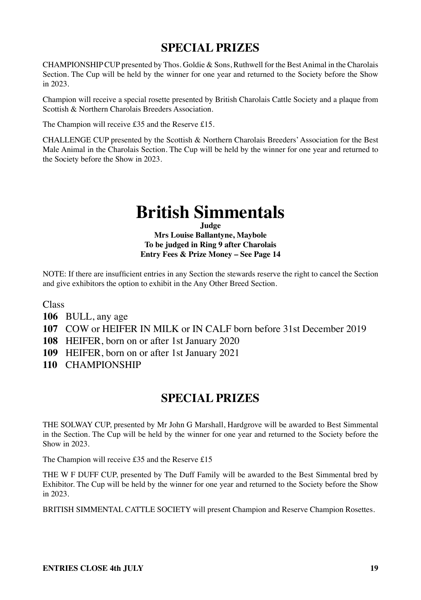CHAMPIONSHIP CUP presented by Thos. Goldie & Sons, Ruthwell for the Best Animal in the Charolais Section. The Cup will be held by the winner for one year and returned to the Society before the Show in 2023.

Champion will receive a special rosette presented by British Charolais Cattle Society and a plaque from Scottish & Northern Charolais Breeders Association.

The Champion will receive £35 and the Reserve £15.

CHALLENGE CUP presented by the Scottish & Northern Charolais Breeders' Association for the Best Male Animal in the Charolais Section. The Cup will be held by the winner for one year and returned to the Society before the Show in 2023.

## **British Simmentals**

**Judge Mrs Louise Ballantyne, Maybole To be judged in Ring 9 after Charolais Entry Fees & Prize Money – See Page 14**

NOTE: If there are insufficient entries in any Section the stewards reserve the right to cancel the Section and give exhibitors the option to exhibit in the Any Other Breed Section.

Class

**106** BULL, any age

**107** COW or HEIFER IN MILK or IN CALF born before 31st December 2019

**108** HEIFER, born on or after 1st January 2020

**109** HEIFER, born on or after 1st January 2021

**110** CHAMPIONSHIP

### **SPECIAL PRIZES**

THE SOLWAY CUP, presented by Mr John G Marshall, Hardgrove will be awarded to Best Simmental in the Section. The Cup will be held by the winner for one year and returned to the Society before the Show in 2023.

The Champion will receive £35 and the Reserve £15

THE W F DUFF CUP, presented by The Duff Family will be awarded to the Best Simmental bred by Exhibitor. The Cup will be held by the winner for one year and returned to the Society before the Show in 2023.

BRITISH SIMMENTAL CATTLE SOCIETY will present Champion and Reserve Champion Rosettes.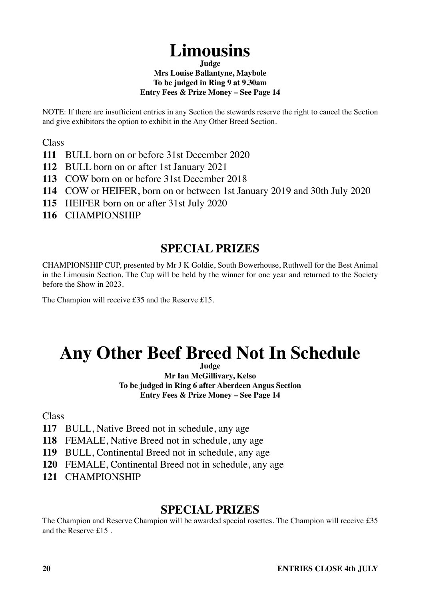## **Limousins**

**Judge**

#### **Mrs Louise Ballantyne, Maybole To be judged in Ring 9 at 9.30am**

#### **Entry Fees & Prize Money – See Page 14**

NOTE: If there are insufficient entries in any Section the stewards reserve the right to cancel the Section and give exhibitors the option to exhibit in the Any Other Breed Section.

Class

- **111** BULL born on or before 31st December 2020
- **112** BULL born on or after 1st January 2021
- **113** COW born on or before 31st December 2018
- **114** COW or HEIFER, born on or between 1st January 2019 and 30th July 2020
- **115** HEIFER born on or after 31st July 2020
- **116** CHAMPIONSHIP

### **SPECIAL PRIZES**

CHAMPIONSHIP CUP, presented by Mr J K Goldie, South Bowerhouse, Ruthwell for the Best Animal in the Limousin Section. The Cup will be held by the winner for one year and returned to the Society before the Show in 2023.

The Champion will receive £35 and the Reserve £15.

## **Any Other Beef Breed Not In Schedule**

**Judge**

**Mr Ian McGillivary, Kelso To be judged in Ring 6 after Aberdeen Angus Section Entry Fees & Prize Money – See Page 14**

**Class** 

- **117** BULL, Native Breed not in schedule, any age
- **118** FEMALE, Native Breed not in schedule, any age
- **119** BULL, Continental Breed not in schedule, any age
- **120** FEMALE, Continental Breed not in schedule, any age
- **121** CHAMPIONSHIP

### **SPECIAL PRIZES**

The Champion and Reserve Champion will be awarded special rosettes. The Champion will receive £35 and the Reserve £15 .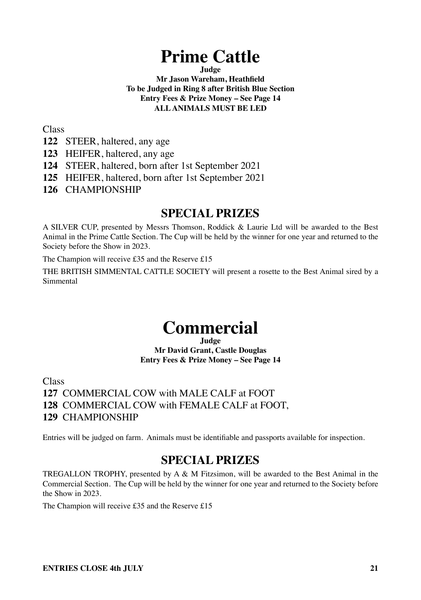## **Prime Cattle**

**Judge Mr Jason Wareham, Heathfield To be Judged in Ring 8 after British Blue Section Entry Fees & Prize Money – See Page 14 ALL ANIMALS MUST BE LED**

Class

- **122** STEER, haltered, any age
- **123** HEIFER, haltered, any age
- **124** STEER, haltered, born after 1st September 2021
- **125** HEIFER, haltered, born after 1st September 2021
- **126** CHAMPIONSHIP

### **SPECIAL PRIZES**

A SILVER CUP, presented by Messrs Thomson, Roddick & Laurie Ltd will be awarded to the Best Animal in the Prime Cattle Section. The Cup will be held by the winner for one year and returned to the Society before the Show in 2023.

The Champion will receive £35 and the Reserve £15

THE BRITISH SIMMENTAL CATTLE SOCIETY will present a rosette to the Best Animal sired by a Simmental

## **Commercial**

**Judge Mr David Grant, Castle Douglas Entry Fees & Prize Money – See Page 14**

**Class** 

**127** COMMERCIAL COW with MALE CALF at FOOT **128** COMMERCIAL COW with FEMALE CALF at FOOT, **129** CHAMPIONSHIP

Entries will be judged on farm. Animals must be identifiable and passports available for inspection.

### **SPECIAL PRIZES**

TREGALLON TROPHY, presented by A & M Fitzsimon, will be awarded to the Best Animal in the Commercial Section. The Cup will be held by the winner for one year and returned to the Society before the Show in 2023.

The Champion will receive £35 and the Reserve £15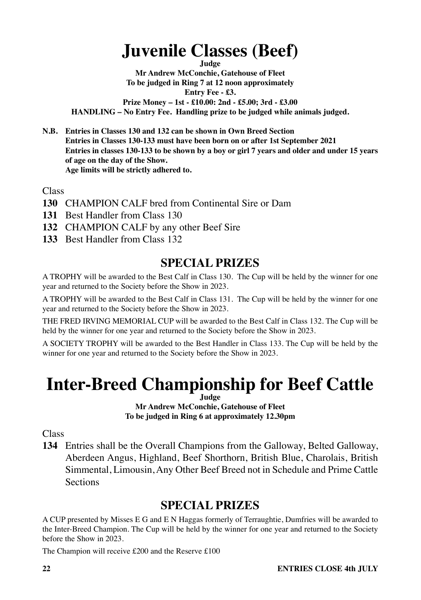## **Juvenile Classes (Beef)**

**Judge**

**Mr Andrew McConchie, Gatehouse of Fleet To be judged in Ring 7 at 12 noon approximately Entry Fee - £3. Prize Money – 1st - £10.00: 2nd - £5.00; 3rd - £3.00 HANDLING – No Entry Fee. Handling prize to be judged while animals judged.**

**N.B. Entries in Classes 130 and 132 can be shown in Own Breed Section Entries in Classes 130-133 must have been born on or after 1st September 2021 Entries in classes 130-133 to be shown by a boy or girl 7 years and older and under 15 years of age on the day of the Show. Age limits will be strictly adhered to.**

Class

- **130** CHAMPION CALF bred from Continental Sire or Dam
- **131** Best Handler from Class 130
- **132** CHAMPION CALF by any other Beef Sire
- **133** Best Handler from Class 132

### **SPECIAL PRIZES**

A TROPHY will be awarded to the Best Calf in Class 130. The Cup will be held by the winner for one year and returned to the Society before the Show in 2023.

A TROPHY will be awarded to the Best Calf in Class 131. The Cup will be held by the winner for one year and returned to the Society before the Show in 2023.

THE FRED IRVING MEMORIAL CUP will be awarded to the Best Calf in Class 132. The Cup will be held by the winner for one year and returned to the Society before the Show in 2023.

A SOCIETY TROPHY will be awarded to the Best Handler in Class 133. The Cup will be held by the winner for one year and returned to the Society before the Show in 2023.

### **Inter-Breed Championship for Beef Cattle Judge**

**Mr Andrew McConchie, Gatehouse of Fleet To be judged in Ring 6 at approximately 12.30pm**

**Class** 

**134** Entries shall be the Overall Champions from the Galloway, Belted Galloway, Aberdeen Angus, Highland, Beef Shorthorn, British Blue, Charolais, British Simmental, Limousin, Any Other Beef Breed not in Schedule and Prime Cattle **Sections** 

### **SPECIAL PRIZES**

A CUP presented by Misses E G and E N Haggas formerly of Terraughtie, Dumfries will be awarded to the Inter-Breed Champion. The Cup will be held by the winner for one year and returned to the Society before the Show in 2023.

The Champion will receive £200 and the Reserve £100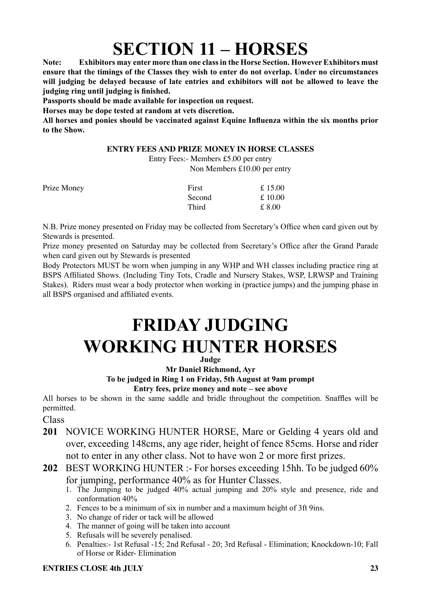## **SECTION 11 – HORSES**

**Note: Exhibitors may enter more than one class in the Horse Section. However Exhibitors must ensure that the timings of the Classes they wish to enter do not overlap. Under no circumstances will judging be delayed because of late entries and exhibitors will not be allowed to leave the judging ring until judging is finished.**

**Passports should be made available for inspection on request.**

**Horses may be dope tested at random at vets discretion.**

**All horses and ponies should be vaccinated against Equine Influenza within the six months prior to the Show.**

#### **ENTRY FEES AND PRIZE MONEY IN HORSE CLASSES**

Entry Fees:- Members £5.00 per entry Non Members £10.00 per entry

| Prize Money | First  | £15.00 |
|-------------|--------|--------|
|             | Second | £10.00 |
|             | Third  | £ 8.00 |

N.B. Prize money presented on Friday may be collected from Secretary's Office when card given out by Stewards is presented.

Prize money presented on Saturday may be collected from Secretary's Office after the Grand Parade when card given out by Stewards is presented

Body Protectors MUST be worn when jumping in any WHP and WH classes including practice ring at BSPS Affiliated Shows. (Including Tiny Tots, Cradle and Nursery Stakes, WSP, LRWSP and Training Stakes). Riders must wear a body protector when working in (practice jumps) and the jumping phase in all BSPS organised and affiliated events.

## **FRIDAY JUDGING WORKING HUNTER HORSES**

#### **Judge**

**Mr Daniel Richmond, Ayr**

#### **To be judged in Ring 1 on Friday, 5th August at 9am prompt**

**Entry fees, prize money and note – see above**

All horses to be shown in the same saddle and bridle throughout the competition. Snaffles will be permitted.

Class

- **201** NOVICE WORKING HUNTER HORSE, Mare or Gelding 4 years old and over, exceeding 148cms, any age rider, height of fence 85cms. Horse and rider not to enter in any other class. Not to have won 2 or more first prizes.
- **202** BEST WORKING HUNTER :- For horses exceeding 15hh. To be judged 60% for jumping, performance 40% as for Hunter Classes.
	- 1. The Jumping to be judged 40% actual jumping and 20% style and presence, ride and conformation 40%
	- 2. Fences to be a minimum of six in number and a maximum height of 3ft 9ins.
	- 3. No change of rider or tack will be allowed
	- 4. The manner of going will be taken into account
	- 5. Refusals will be severely penalised.
	- 6. Penalties:- 1st Refusal -15; 2nd Refusal 20; 3rd Refusal Elimination; Knockdown-10; Fall of Horse or Rider- Elimination

#### **ENTRIES CLOSE 4th HILY** 23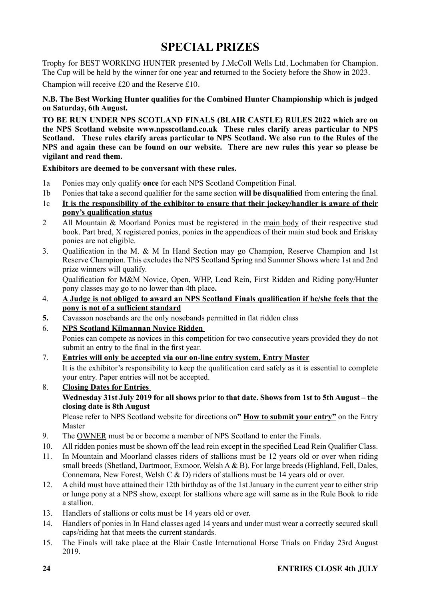Trophy for BEST WORKING HUNTER presented by J.McColl Wells Ltd, Lochmaben for Champion. The Cup will be held by the winner for one year and returned to the Society before the Show in 2023.

Champion will receive £20 and the Reserve £10.

#### **N.B. The Best Working Hunter qualifies for the Combined Hunter Championship which is judged on Saturday, 6th August.**

**TO BE RUN UNDER NPS SCOTLAND FINALS (BLAIR CASTLE) RULES 2022 which are on the NPS Scotland website www.npsscotland.co.uk These rules clarify areas particular to NPS Scotland. These rules clarify areas particular to NPS Scotland. We also run to the Rules of the NPS and again these can be found on our website. There are new rules this year so please be vigilant and read them.**

#### **Exhibitors are deemed to be conversant with these rules.**

- 1a Ponies may only qualify **once** for each NPS Scotland Competition Final.
- 1b Ponies that take a second qualifier for the same section **will be disqualified** from entering the final.
- 1c **It is the responsibility of the exhibitor to ensure that their jockey/handler is aware of their pony's qualification status**
- 2 All Mountain & Moorland Ponies must be registered in the main body of their respective stud book. Part bred, X registered ponies, ponies in the appendices of their main stud book and Eriskay ponies are not eligible.
- 3. Qualification in the M. & M In Hand Section may go Champion, Reserve Champion and 1st Reserve Champion. This excludes the NPS Scotland Spring and Summer Shows where 1st and 2nd prize winners will qualify.

Qualification for M&M Novice, Open, WHP, Lead Rein, First Ridden and Riding pony/Hunter pony classes may go to no lower than 4th place**.**

- 4. **A Judge is not obliged to award an NPS Scotland Finals qualification if he/she feels that the pony is not of a sufficient standard**
- **5.** Cavasson nosebands are the only nosebands permitted in flat ridden class
- 6. **NPS Scotland Kilmannan Novice Ridden**

Ponies can compete as novices in this competition for two consecutive years provided they do not submit an entry to the final in the first year.

- 7. **Entries will only be accepted via our on-line entry system, Entry Master** It is the exhibitor's responsibility to keep the qualification card safely as it is essential to complete your entry. Paper entries will not be accepted.
- 8. **Closing Dates for Entries Wednesday 31st July 2019 for all shows prior to that date. Shows from 1st to 5th August – the closing date is 8th August**

Please refer to NPS Scotland website for directions on**" How to submit your entry"** on the Entry Master

- 9. The OWNER must be or become a member of NPS Scotland to enter the Finals.
- 10. All ridden ponies must be shown off the lead rein except in the specified Lead Rein Qualifier Class.
- 11. In Mountain and Moorland classes riders of stallions must be 12 years old or over when riding small breeds (Shetland, Dartmoor, Exmoor, Welsh A & B). For large breeds (Highland, Fell, Dales, Connemara, New Forest, Welsh C & D) riders of stallions must be 14 years old or over.
- 12. A child must have attained their 12th birthday as of the 1st January in the current year to either strip or lunge pony at a NPS show, except for stallions where age will same as in the Rule Book to ride a stallion.
- 13. Handlers of stallions or colts must be 14 years old or over.
- 14. Handlers of ponies in In Hand classes aged 14 years and under must wear a correctly secured skull caps/riding hat that meets the current standards.
- 15. The Finals will take place at the Blair Castle International Horse Trials on Friday 23rd August 2019.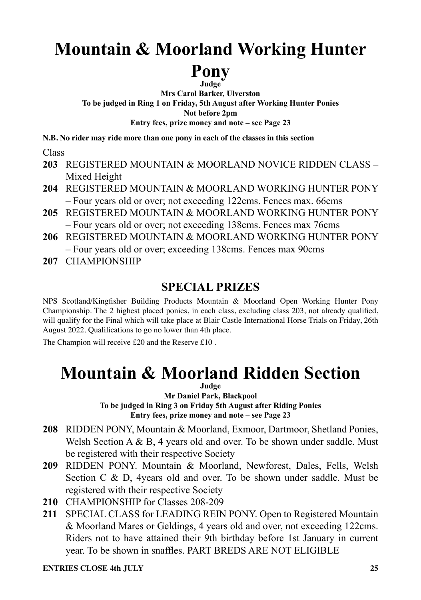## **Mountain & Moorland Working Hunter Pony**

**Judge**

**Mrs Carol Barker, Ulverston To be judged in Ring 1 on Friday, 5th August after Working Hunter Ponies Not before 2pm Entry fees, prize money and note – see Page 23**

**N.B. No rider may ride more than one pony in each of the classes in this section**

Class

- **203** REGISTERED MOUNTAIN & MOORLAND NOVICE RIDDEN CLASS Mixed Height
- **204** REGISTERED MOUNTAIN & MOORLAND WORKING HUNTER PONY – Four years old or over; not exceeding 122cms. Fences max. 66cms
- **205** REGISTERED MOUNTAIN & MOORLAND WORKING HUNTER PONY – Four years old or over; not exceeding 138cms. Fences max 76cms
- **206** REGISTERED MOUNTAIN & MOORLAND WORKING HUNTER PONY – Four years old or over; exceeding 138cms. Fences max 90cms
- **207** CHAMPIONSHIP

## **SPECIAL PRIZES**

NPS Scotland/Kingfisher Building Products Mountain & Moorland Open Working Hunter Pony Championship. The 2 highest placed ponies, in each class, excluding class 203, not already qualified, will qualify for the Final which will take place at Blair Castle International Horse Trials on Friday, 26th August 2022. Qualifications to go no lower than 4th place.

The Champion will receive £20 and the Reserve £10 .

## **Mountain & Moorland Ridden Section**

**Judge**

**Mr Daniel Park, Blackpool To be judged in Ring 3 on Friday 5th August after Riding Ponies Entry fees, prize money and note – see Page 23**

- **208** RIDDEN PONY, Mountain & Moorland, Exmoor, Dartmoor, Shetland Ponies, Welsh Section A  $\&$  B, 4 years old and over. To be shown under saddle. Must be registered with their respective Society
- **209** RIDDEN PONY. Mountain & Moorland, Newforest, Dales, Fells, Welsh Section C & D, 4years old and over. To be shown under saddle. Must be registered with their respective Society
- **210** CHAMPIONSHIP for Classes 208-209
- **211** SPECIAL CLASS for LEADING REIN PONY. Open to Registered Mountain & Moorland Mares or Geldings, 4 years old and over, not exceeding 122cms. Riders not to have attained their 9th birthday before 1st January in current year. To be shown in snaffles. PART BREDS ARE NOT ELIGIBLE

**ENTRIES CLOSE 4th HILY** 25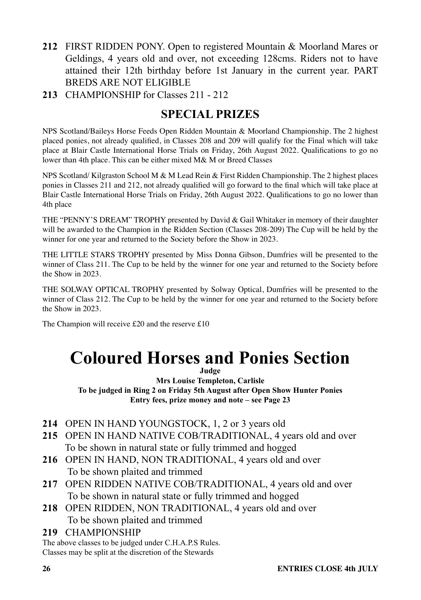- **212** FIRST RIDDEN PONY. Open to registered Mountain & Moorland Mares or Geldings, 4 years old and over, not exceeding 128cms. Riders not to have attained their 12th birthday before 1st January in the current year. PART BREDS ARE NOT ELIGIBLE
- **213** CHAMPIONSHIP for Classes 211 212

NPS Scotland/Baileys Horse Feeds Open Ridden Mountain & Moorland Championship. The 2 highest placed ponies, not already qualified, in Classes 208 and 209 will qualify for the Final which will take place at Blair Castle International Horse Trials on Friday, 26th August 2022. Qualifications to go no lower than 4th place. This can be either mixed M& M or Breed Classes

NPS Scotland/ Kilgraston School M & M Lead Rein & First Ridden Championship. The 2 highest places ponies in Classes 211 and 212, not already qualified will go forward to the final which will take place at Blair Castle International Horse Trials on Friday, 26th August 2022. Qualifications to go no lower than 4th place

THE "PENNY'S DREAM" TROPHY presented by David & Gail Whitaker in memory of their daughter will be awarded to the Champion in the Ridden Section (Classes 208-209) The Cup will be held by the winner for one year and returned to the Society before the Show in 2023.

THE LITTLE STARS TROPHY presented by Miss Donna Gibson, Dumfries will be presented to the winner of Class 211. The Cup to be held by the winner for one year and returned to the Society before the Show in 2023.

THE SOLWAY OPTICAL TROPHY presented by Solway Optical, Dumfries will be presented to the winner of Class 212. The Cup to be held by the winner for one year and returned to the Society before the Show in 2023.

The Champion will receive £20 and the reserve £10

## **Coloured Horses and Ponies Section**

**Judge**

**Mrs Louise Templeton, Carlisle To be judged in Ring 2 on Friday 5th August after Open Show Hunter Ponies Entry fees, prize money and note – see Page 23**

- **214** OPEN IN HAND YOUNGSTOCK, 1, 2 or 3 years old
- **215** OPEN IN HAND NATIVE COB/TRADITIONAL, 4 years old and over To be shown in natural state or fully trimmed and hogged
- **216** OPEN IN HAND, NON TRADITIONAL, 4 years old and over To be shown plaited and trimmed
- **217** OPEN RIDDEN NATIVE COB/TRADITIONAL, 4 years old and over To be shown in natural state or fully trimmed and hogged
- **218** OPEN RIDDEN, NON TRADITIONAL, 4 years old and over To be shown plaited and trimmed
- **219** CHAMPIONSHIP

The above classes to be judged under C.H.A.P.S Rules. Classes may be split at the discretion of the Stewards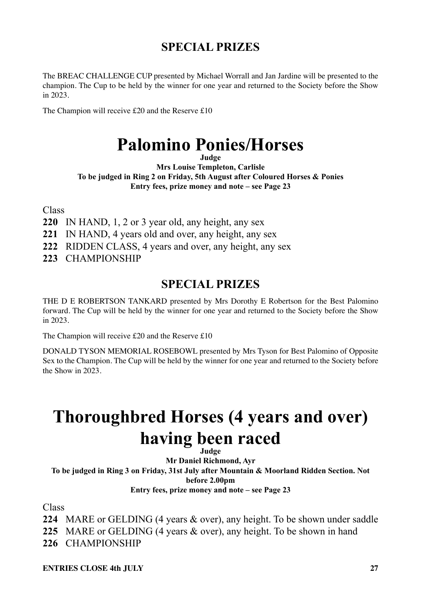The BREAC CHALLENGE CUP presented by Michael Worrall and Jan Jardine will be presented to the champion. The Cup to be held by the winner for one year and returned to the Society before the Show in 2023.

The Champion will receive £20 and the Reserve £10

## **Palomino Ponies/Horses**

**Judge**

**Mrs Louise Templeton, Carlisle To be judged in Ring 2 on Friday, 5th August after Coloured Horses & Ponies Entry fees, prize money and note – see Page 23**

Class

**220** IN HAND, 1, 2 or 3 year old, any height, any sex

**221** IN HAND, 4 years old and over, any height, any sex

**222** RIDDEN CLASS, 4 years and over, any height, any sex

**223** CHAMPIONSHIP

### **SPECIAL PRIZES**

THE D E ROBERTSON TANKARD presented by Mrs Dorothy E Robertson for the Best Palomino forward. The Cup will be held by the winner for one year and returned to the Society before the Show in 2023.

The Champion will receive £20 and the Reserve £10

DONALD TYSON MEMORIAL ROSEBOWL presented by Mrs Tyson for Best Palomino of Opposite Sex to the Champion. The Cup will be held by the winner for one year and returned to the Society before the Show in 2023.

## **Thoroughbred Horses (4 years and over) having been raced**

**Judge**

**Mr Daniel Richmond, Ayr To be judged in Ring 3 on Friday, 31st July after Mountain & Moorland Ridden Section. Not before 2.00pm Entry fees, prize money and note – see Page 23**

Class

**224** MARE or GELDING (4 years & over), any height. To be shown under saddle

**225** MARE or GELDING (4 years & over), any height. To be shown in hand

**226** CHAMPIONSHIP

**ENTRIES CLOSE 4th HILY** 27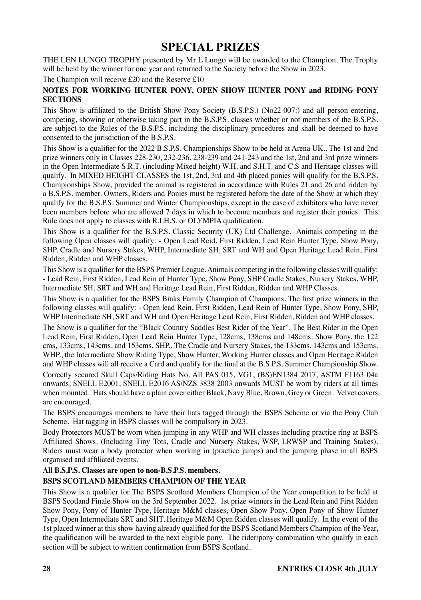THE LEN LUNGO TROPHY presented by Mr L Lungo will be awarded to the Champion. The Trophy will be held by the winner for one year and returned to the Society before the Show in 2023.

The Champion will receive £20 and the Reserve £10

#### **NOTES FOR WORKING HUNTER PONY, OPEN SHOW HUNTER PONY and RIDING PONY SECTIONS**

This Show is affiliated to the British Show Pony Society (B.S.P.S.) (No22-007:) and all person entering, competing, showing or otherwise taking part in the B.S.P.S. classes whether or not members of the B.S.P.S. are subject to the Rules of the B.S.P.S. including the disciplinary procedures and shall be deemed to have consented to the jurisdiction of the B.S.P.S.

This Show is a qualifier for the 2022 B.S.P.S. Championships Show to be held at Arena UK.. The 1st and 2nd prize winners only in Classes 228-230, 232-236, 238-239 and 241-243 and the 1st, 2nd and 3rd prize winners in the Open Intermediate S.R.T. (including Mixed height) W.H. and S.H.T. and C.S and Heritage classes will qualify. In MIXED HEIGHT CLASSES the 1st, 2nd, 3rd and 4th placed ponies will qualify for the B.S.P.S. Championships Show, provided the animal is registered in accordance with Rules 21 and 26 and ridden by a B.S.P.S. member. Owners, Riders and Ponies must be registered before the date of the Show at which they qualify for the B.S.P.S. Summer and Winter Championships, except in the case of exhibitors who have never been members before who are allowed 7 days in which to become members and register their ponies. This Rule does not apply to classes with R.I.H.S. or OLYMPIA qualification.

This Show is a qualifier for the B.S.P.S. Classic Security (UK) Ltd Challenge. Animals competing in the following Open classes will qualify: - Open Lead Reid, First Ridden, Lead Rein Hunter Type, Show Pony, SHP, Cradle and Nursery Stakes, WHP, Intermediate SH, SRT and WH and Open Heritage Lead Rein, First Ridden, Ridden and WHP classes.

This Show is a qualifier for the BSPS Premier League. Animals competing in the following classes will qualify: - Lead Rein, First Ridden, Lead Rein of Hunter Type, Show Pony, SHP Cradle Stakes, Nursery Stakes, WHP, Intermediate SH, SRT and WH and Heritage Lead Rein, First Ridden, Ridden and WHP Classes.

This Show is a qualifier for the BSPS Binks Family Champion of Champions. The first prize winners in the following classes will qualify: - Open lead Rein, First Ridden, Lead Rein of Hunter Type, Show Pony, SHP, WHP Intermediate SH, SRT and WH and Open Heritage Lead Rein, First Ridden, Ridden and WHP classes.

The Show is a qualifier for the "Black Country Saddles Best Rider of the Year". The Best Rider in the Open Lead Rein, First Ridden, Open Lead Rein Hunter Type, 128cms, 138cms and 148cms. Show Pony, the 122 cms, 133cms, 143cms, and 153cms. SHP., The Cradle and Nursery Stakes, the 133cms, 143cms and 153cms. WHP., the Intermediate Show Riding Type, Show Hunter, Working Hunter classes and Open Heritage Ridden and WHP classes will all receive a Card and qualify for the final at the B.S.P.S. Summer Championship Show. Correctly secured Skull Caps/Riding Hats No. All PAS 015, VG1, (BS)EN1384 2017, ASTM F1163 04a onwards, SNELL E2001, SNELL E2016 AS/NZS 3838 2003 onwards MUST be worn by riders at all times when mounted. Hats should have a plain cover either Black, Navy Blue, Brown, Grey or Green. Velvet covers are encouraged.

The BSPS encourages members to have their hats tagged through the BSPS Scheme or via the Pony Club Scheme. Hat tagging in BSPS classes will be compulsory in 2023.

Body Protectors MUST be worn when jumping in any WHP and WH classes including practice ring at BSPS Affiliated Shows. (Including Tiny Tots, Cradle and Nursery Stakes, WSP, LRWSP and Training Stakes). Riders must wear a body protector when working in (practice jumps) and the jumping phase in all BSPS organised and affiliated events.

### **All B.S.P.S. Classes are open to non-B.S.P.S. members.**

#### **BSPS SCOTLAND MEMBERS CHAMPION OF THE YEAR**

This Show is a qualifier for The BSPS Scotland Members Champion of the Year competition to be held at BSPS Scotland Finale Show on the 3rd September 2022. 1st prize winners in the Lead Rein and First Ridden Show Pony, Pony of Hunter Type, Heritage M&M classes, Open Show Pony, Open Pony of Show Hunter Type, Open Intermediate SRT and SHT, Heritage M&M Open Ridden classes will qualify. In the event of the 1st placed winner at this show having already qualified for the BSPS Scotland Members Champion of the Year, the qualification will be awarded to the next eligible pony. The rider/pony combination who qualify in each section will be subject to written confirmation from BSPS Scotland.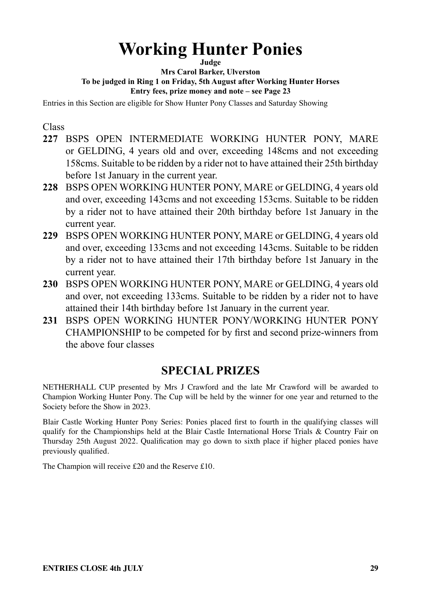## **Working Hunter Ponies**

**Judge**

**Mrs Carol Barker, Ulverston To be judged in Ring 1 on Friday, 5th August after Working Hunter Horses Entry fees, prize money and note – see Page 23**

Entries in this Section are eligible for Show Hunter Pony Classes and Saturday Showing

Class

- **227** BSPS OPEN INTERMEDIATE WORKING HUNTER PONY, MARE or GELDING, 4 years old and over, exceeding 148cms and not exceeding 158cms. Suitable to be ridden by a rider not to have attained their 25th birthday before 1st January in the current year.
- **228** BSPS OPEN WORKING HUNTER PONY, MARE or GELDING, 4 years old and over, exceeding 143cms and not exceeding 153cms. Suitable to be ridden by a rider not to have attained their 20th birthday before 1st January in the current year.
- **229** BSPS OPEN WORKING HUNTER PONY, MARE or GELDING, 4 years old and over, exceeding 133cms and not exceeding 143cms. Suitable to be ridden by a rider not to have attained their 17th birthday before 1st January in the current year.
- **230** BSPS OPEN WORKING HUNTER PONY, MARE or GELDING, 4 years old and over, not exceeding 133cms. Suitable to be ridden by a rider not to have attained their 14th birthday before 1st January in the current year.
- **231** BSPS OPEN WORKING HUNTER PONY/WORKING HUNTER PONY CHAMPIONSHIP to be competed for by first and second prize-winners from the above four classes

### **SPECIAL PRIZES**

NETHERHALL CUP presented by Mrs J Crawford and the late Mr Crawford will be awarded to Champion Working Hunter Pony. The Cup will be held by the winner for one year and returned to the Society before the Show in 2023.

Blair Castle Working Hunter Pony Series: Ponies placed first to fourth in the qualifying classes will qualify for the Championships held at the Blair Castle International Horse Trials & Country Fair on Thursday 25th August 2022. Qualification may go down to sixth place if higher placed ponies have previously qualified.

The Champion will receive £20 and the Reserve £10.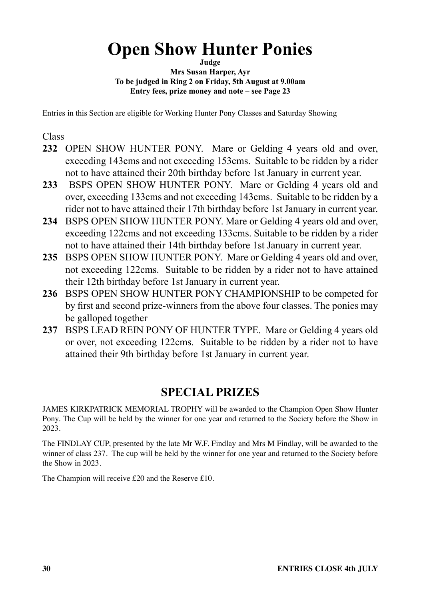## **Open Show Hunter Ponies**

**Judge**

**Mrs Susan Harper, Ayr To be judged in Ring 2 on Friday, 5th August at 9.00am Entry fees, prize money and note – see Page 23**

Entries in this Section are eligible for Working Hunter Pony Classes and Saturday Showing

Class

- **232** OPEN SHOW HUNTER PONY. Mare or Gelding 4 years old and over, exceeding 143cms and not exceeding 153cms. Suitable to be ridden by a rider not to have attained their 20th birthday before 1st January in current year.
- **233** BSPS OPEN SHOW HUNTER PONY. Mare or Gelding 4 years old and over, exceeding 133cms and not exceeding 143cms. Suitable to be ridden by a rider not to have attained their 17th birthday before 1st January in current year.
- **234** BSPS OPEN SHOW HUNTER PONY. Mare or Gelding 4 years old and over, exceeding 122cms and not exceeding 133cms. Suitable to be ridden by a rider not to have attained their 14th birthday before 1st January in current year.
- **235** BSPS OPEN SHOW HUNTER PONY. Mare or Gelding 4 years old and over, not exceeding 122cms. Suitable to be ridden by a rider not to have attained their 12th birthday before 1st January in current year.
- **236** BSPS OPEN SHOW HUNTER PONY CHAMPIONSHIP to be competed for by first and second prize-winners from the above four classes. The ponies may be galloped together
- **237** BSPS LEAD REIN PONY OF HUNTER TYPE. Mare or Gelding 4 years old or over, not exceeding 122cms. Suitable to be ridden by a rider not to have attained their 9th birthday before 1st January in current year.

### **SPECIAL PRIZES**

JAMES KIRKPATRICK MEMORIAL TROPHY will be awarded to the Champion Open Show Hunter Pony. The Cup will be held by the winner for one year and returned to the Society before the Show in 2023.

The FINDLAY CUP, presented by the late Mr W.F. Findlay and Mrs M Findlay, will be awarded to the winner of class 237. The cup will be held by the winner for one year and returned to the Society before the Show in 2023.

The Champion will receive £20 and the Reserve £10.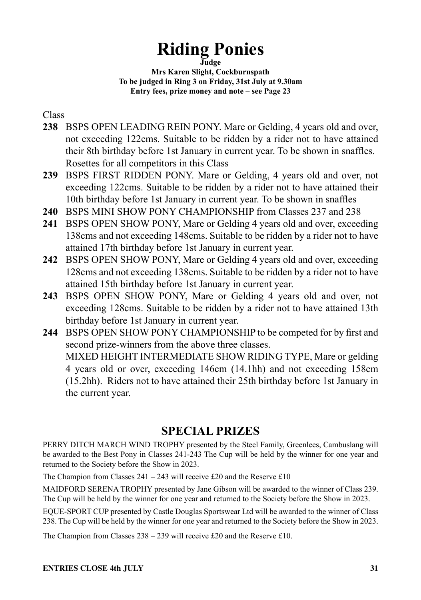## **Riding Ponies**

**Judge**

**Mrs Karen Slight, Cockburnspath To be judged in Ring 3 on Friday, 31st July at 9.30am Entry fees, prize money and note – see Page 23**

#### Class

- **238** BSPS OPEN LEADING REIN PONY. Mare or Gelding, 4 years old and over, not exceeding 122cms. Suitable to be ridden by a rider not to have attained their 8th birthday before 1st January in current year. To be shown in snaffles. Rosettes for all competitors in this Class
- **239** BSPS FIRST RIDDEN PONY. Mare or Gelding, 4 years old and over, not exceeding 122cms. Suitable to be ridden by a rider not to have attained their 10th birthday before 1st January in current year. To be shown in snaffles
- **240** BSPS MINI SHOW PONY CHAMPIONSHIP from Classes 237 and 238
- **241** BSPS OPEN SHOW PONY, Mare or Gelding 4 years old and over, exceeding 138cms and not exceeding 148cms. Suitable to be ridden by a rider not to have attained 17th birthday before 1st January in current year.
- **242** BSPS OPEN SHOW PONY, Mare or Gelding 4 years old and over, exceeding 128cms and not exceeding 138cms. Suitable to be ridden by a rider not to have attained 15th birthday before 1st January in current year.
- **243** BSPS OPEN SHOW PONY, Mare or Gelding 4 years old and over, not exceeding 128cms. Suitable to be ridden by a rider not to have attained 13th birthday before 1st January in current year.
- **244** BSPS OPEN SHOW PONY CHAMPIONSHIP to be competed for by first and second prize-winners from the above three classes. MIXED HEIGHT INTERMEDIATE SHOW RIDING TYPE, Mare or gelding 4 years old or over, exceeding 146cm (14.1hh) and not exceeding 158cm (15.2hh). Riders not to have attained their 25th birthday before 1st January in the current year.

### **SPECIAL PRIZES**

PERRY DITCH MARCH WIND TROPHY presented by the Steel Family, Greenlees, Cambuslang will be awarded to the Best Pony in Classes 241-243 The Cup will be held by the winner for one year and returned to the Society before the Show in 2023.

The Champion from Classes  $241 - 243$  will receive £20 and the Reserve £10

MAIDFORD SERENA TROPHY presented by Jane Gibson will be awarded to the winner of Class 239. The Cup will be held by the winner for one year and returned to the Society before the Show in 2023.

EQUE-SPORT CUP presented by Castle Douglas Sportswear Ltd will be awarded to the winner of Class 238. The Cup will be held by the winner for one year and returned to the Society before the Show in 2023.

The Champion from Classes 238 – 239 will receive £20 and the Reserve £10.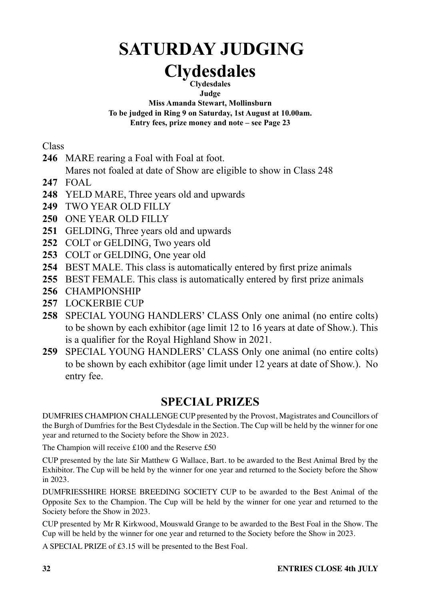# **SATURDAY JUDGING**

#### **Clydesdales Clydesdales**

**Judge**

**Miss Amanda Stewart, Mollinsburn To be judged in Ring 9 on Saturday, 1st August at 10.00am. Entry fees, prize money and note – see Page 23**

**Class** 

**246** MARE rearing a Foal with Foal at foot.

Mares not foaled at date of Show are eligible to show in Class 248

- **247** FOAL
- **248** YELD MARE, Three years old and upwards
- **249** TWO YEAR OLD FILLY
- **250** ONE YEAR OLD FILLY
- **251** GELDING, Three years old and upwards
- **252** COLT or GELDING, Two years old
- **253** COLT or GELDING, One year old
- **254** BEST MALE. This class is automatically entered by first prize animals
- **255** BEST FEMALE. This class is automatically entered by first prize animals
- **256** CHAMPIONSHIP
- **257** LOCKERBIE CUP
- **258** SPECIAL YOUNG HANDLERS' CLASS Only one animal (no entire colts) to be shown by each exhibitor (age limit 12 to 16 years at date of Show.). This is a qualifier for the Royal Highland Show in 2021.
- **259** SPECIAL YOUNG HANDLERS' CLASS Only one animal (no entire colts) to be shown by each exhibitor (age limit under 12 years at date of Show.). No entry fee.

### **SPECIAL PRIZES**

DUMFRIES CHAMPION CHALLENGE CUP presented by the Provost, Magistrates and Councillors of the Burgh of Dumfries for the Best Clydesdale in the Section. The Cup will be held by the winner for one year and returned to the Society before the Show in 2023.

The Champion will receive £100 and the Reserve £50

CUP presented by the late Sir Matthew G Wallace, Bart. to be awarded to the Best Animal Bred by the Exhibitor. The Cup will be held by the winner for one year and returned to the Society before the Show in 2023.

DUMFRIESSHIRE HORSE BREEDING SOCIETY CUP to be awarded to the Best Animal of the Opposite Sex to the Champion. The Cup will be held by the winner for one year and returned to the Society before the Show in 2023.

CUP presented by Mr R Kirkwood, Mouswald Grange to be awarded to the Best Foal in the Show. The Cup will be held by the winner for one year and returned to the Society before the Show in 2023.

A SPECIAL PRIZE of £3.15 will be presented to the Best Foal.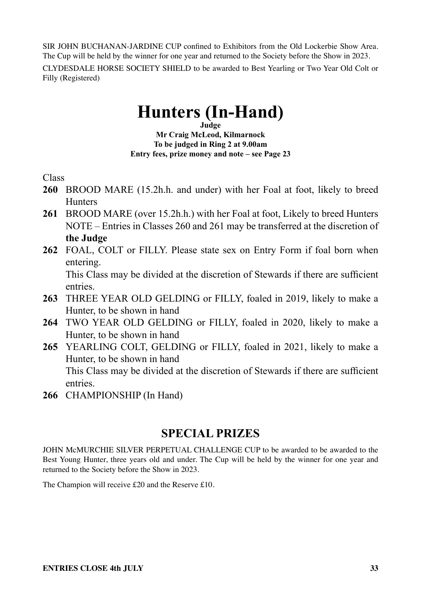SIR JOHN BUCHANAN-JARDINE CUP confined to Exhibitors from the Old Lockerbie Show Area. The Cup will be held by the winner for one year and returned to the Society before the Show in 2023. CLYDESDALE HORSE SOCIETY SHIELD to be awarded to Best Yearling or Two Year Old Colt or Filly (Registered)

## **Hunters (In-Hand)**

**Judge Mr Craig McLeod, Kilmarnock To be judged in Ring 2 at 9.00am Entry fees, prize money and note – see Page 23**

Class

- **260** BROOD MARE (15.2h.h. and under) with her Foal at foot, likely to breed **Hunters**
- **261** BROOD MARE (over 15.2h.h.) with her Foal at foot, Likely to breed Hunters NOTE – Entries in Classes 260 and 261 may be transferred at the discretion of **the Judge**
- **262** FOAL, COLT or FILLY. Please state sex on Entry Form if foal born when entering.

This Class may be divided at the discretion of Stewards if there are sufficient entries.

- **263** THREE YEAR OLD GELDING or FILLY, foaled in 2019, likely to make a Hunter, to be shown in hand
- **264** TWO YEAR OLD GELDING or FILLY, foaled in 2020, likely to make a Hunter, to be shown in hand
- **265** YEARLING COLT, GELDING or FILLY, foaled in 2021, likely to make a Hunter, to be shown in hand This Class may be divided at the discretion of Stewards if there are sufficient entries.
- **266** CHAMPIONSHIP (In Hand)

### **SPECIAL PRIZES**

JOHN McMURCHIE SILVER PERPETUAL CHALLENGE CUP to be awarded to be awarded to the Best Young Hunter, three years old and under. The Cup will be held by the winner for one year and returned to the Society before the Show in 2023.

The Champion will receive £20 and the Reserve £10.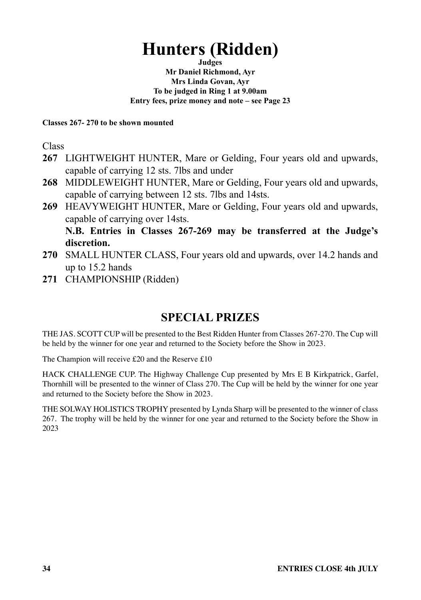## **Hunters (Ridden)**

**Judges Mr Daniel Richmond, Ayr Mrs Linda Govan, Ayr To be judged in Ring 1 at 9.00am Entry fees, prize money and note – see Page 23**

#### **Classes 267- 270 to be shown mounted**

Class

- **267** LIGHTWEIGHT HUNTER, Mare or Gelding, Four years old and upwards, capable of carrying 12 sts. 7lbs and under
- **268** MIDDLEWEIGHT HUNTER, Mare or Gelding, Four years old and upwards, capable of carrying between 12 sts. 7lbs and 14sts.
- **269** HEAVYWEIGHT HUNTER, Mare or Gelding, Four years old and upwards, capable of carrying over 14sts. **N.B. Entries in Classes 267-269 may be transferred at the Judge's discretion.**
- **270** SMALL HUNTER CLASS, Four years old and upwards, over 14.2 hands and up to 15.2 hands
- **271** CHAMPIONSHIP (Ridden)

## **SPECIAL PRIZES**

THE JAS. SCOTT CUP will be presented to the Best Ridden Hunter from Classes 267-270. The Cup will be held by the winner for one year and returned to the Society before the Show in 2023.

The Champion will receive £20 and the Reserve £10

HACK CHALLENGE CUP. The Highway Challenge Cup presented by Mrs E B Kirkpatrick, Garfel, Thornhill will be presented to the winner of Class 270. The Cup will be held by the winner for one year and returned to the Society before the Show in 2023.

THE SOLWAY HOLISTICS TROPHY presented by Lynda Sharp will be presented to the winner of class 267. The trophy will be held by the winner for one year and returned to the Society before the Show in 2023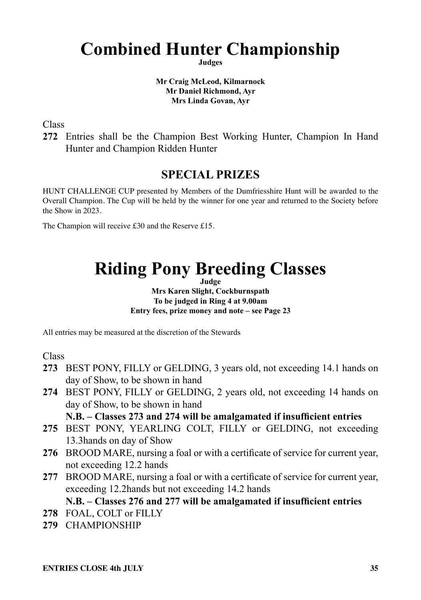## **Combined Hunter Championship**

**Judges**

#### **Mr Craig McLeod, Kilmarnock Mr Daniel Richmond, Ayr Mrs Linda Govan, Ayr**

Class

**272** Entries shall be the Champion Best Working Hunter, Champion In Hand Hunter and Champion Ridden Hunter

### **SPECIAL PRIZES**

HUNT CHALLENGE CUP presented by Members of the Dumfriesshire Hunt will be awarded to the Overall Champion. The Cup will be held by the winner for one year and returned to the Society before the Show in 2023.

The Champion will receive £30 and the Reserve £15.

## **Riding Pony Breeding Classes**

**Judge Mrs Karen Slight, Cockburnspath To be judged in Ring 4 at 9.00am Entry fees, prize money and note – see Page 23**

All entries may be measured at the discretion of the Stewards

Class

- **273** BEST PONY, FILLY or GELDING, 3 years old, not exceeding 14.1 hands on day of Show, to be shown in hand
- **274** BEST PONY, FILLY or GELDING, 2 years old, not exceeding 14 hands on day of Show, to be shown in hand

#### **N.B. – Classes 273 and 274 will be amalgamated if insufficient entries**

- **275** BEST PONY, YEARLING COLT, FILLY or GELDING, not exceeding 13.3hands on day of Show
- **276** BROOD MARE, nursing a foal or with a certificate of service for current year, not exceeding 12.2 hands
- **277** BROOD MARE, nursing a foal or with a certificate of service for current year, exceeding 12.2hands but not exceeding 14.2 hands

#### **N.B. – Classes 276 and 277 will be amalgamated if insufficient entries**

- **278** FOAL, COLT or FILLY
- **279** CHAMPIONSHIP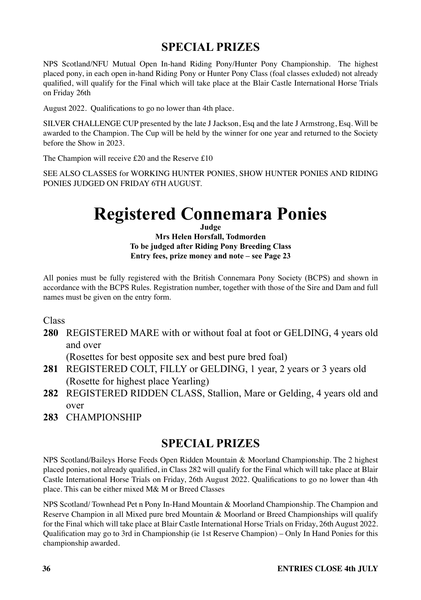NPS Scotland/NFU Mutual Open In-hand Riding Pony/Hunter Pony Championship. The highest placed pony, in each open in-hand Riding Pony or Hunter Pony Class (foal classes exluded) not already qualified, will qualify for the Final which will take place at the Blair Castle International Horse Trials on Friday 26th

August 2022. Qualifications to go no lower than 4th place.

SILVER CHALLENGE CUP presented by the late J Jackson, Esq and the late J Armstrong, Esq. Will be awarded to the Champion. The Cup will be held by the winner for one year and returned to the Society before the Show in 2023.

The Champion will receive £20 and the Reserve £10

SEE ALSO CLASSES for WORKING HUNTER PONIES, SHOW HUNTER PONIES AND RIDING PONIES JUDGED ON FRIDAY 6TH AUGUST.

## **Registered Connemara Ponies**

**Judge Mrs Helen Horsfall, Todmorden To be judged after Riding Pony Breeding Class Entry fees, prize money and note – see Page 23**

All ponies must be fully registered with the British Connemara Pony Society (BCPS) and shown in accordance with the BCPS Rules. Registration number, together with those of the Sire and Dam and full names must be given on the entry form.

Class

**280** REGISTERED MARE with or without foal at foot or GELDING, 4 years old and over

(Rosettes for best opposite sex and best pure bred foal)

- **281** REGISTERED COLT, FILLY or GELDING, 1 year, 2 years or 3 years old (Rosette for highest place Yearling)
- **282** REGISTERED RIDDEN CLASS, Stallion, Mare or Gelding, 4 years old and over
- **283** CHAMPIONSHIP

### **SPECIAL PRIZES**

NPS Scotland/Baileys Horse Feeds Open Ridden Mountain & Moorland Championship. The 2 highest placed ponies, not already qualified, in Class 282 will qualify for the Final which will take place at Blair Castle International Horse Trials on Friday, 26th August 2022. Qualifications to go no lower than 4th place. This can be either mixed M& M or Breed Classes

NPS Scotland/ Townhead Pet n Pony In-Hand Mountain & Moorland Championship. The Champion and Reserve Champion in all Mixed pure bred Mountain & Moorland or Breed Championships will qualify for the Final which will take place at Blair Castle International Horse Trials on Friday, 26th August 2022. Qualification may go to 3rd in Championship (ie 1st Reserve Champion) – Only In Hand Ponies for this championship awarded.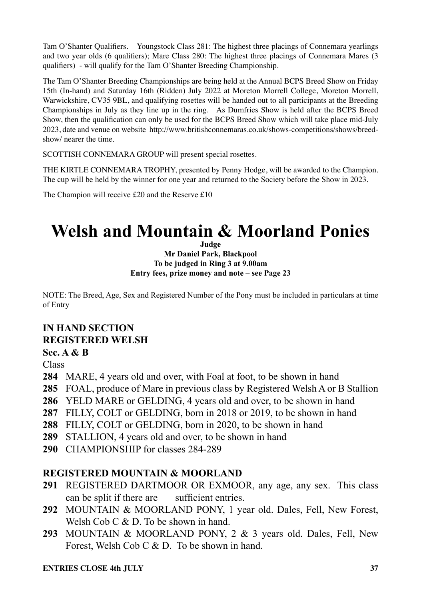Tam O'Shanter Qualifiers. Youngstock Class 281: The highest three placings of Connemara yearlings and two year olds (6 qualifiers); Mare Class 280: The highest three placings of Connemara Mares (3 qualifiers) - will qualify for the Tam O'Shanter Breeding Championship.

The Tam O'Shanter Breeding Championships are being held at the Annual BCPS Breed Show on Friday 15th (In-hand) and Saturday 16th (Ridden) July 2022 at Moreton Morrell College, Moreton Morrell, Warwickshire, CV35 9BL, and qualifying rosettes will be handed out to all participants at the Breeding Championships in July as they line up in the ring. As Dumfries Show is held after the BCPS Breed Show, then the qualification can only be used for the BCPS Breed Show which will take place mid-July 2023, date and venue on website http://www.britishconnemaras.co.uk/shows-competitions/shows/breedshow/ nearer the time.

SCOTTISH CONNEMARA GROUP will present special rosettes.

THE KIRTLE CONNEMARA TROPHY, presented by Penny Hodge, will be awarded to the Champion. The cup will be held by the winner for one year and returned to the Society before the Show in 2023.

The Champion will receive £20 and the Reserve £10

## **Welsh and Mountain & Moorland Ponies**

**Judge**

**Mr Daniel Park, Blackpool To be judged in Ring 3 at 9.00am Entry fees, prize money and note – see Page 23**

NOTE: The Breed, Age, Sex and Registered Number of the Pony must be included in particulars at time of Entry

#### **IN HAND SECTION REGISTERED WELSH Sec. A & B**

**Class** 

- **284** MARE, 4 years old and over, with Foal at foot, to be shown in hand
- **285** FOAL, produce of Mare in previous class by Registered Welsh A or B Stallion
- **286** YELD MARE or GELDING, 4 years old and over, to be shown in hand
- **287** FILLY, COLT or GELDING, born in 2018 or 2019, to be shown in hand
- **288** FILLY, COLT or GELDING, born in 2020, to be shown in hand
- **289** STALLION, 4 years old and over, to be shown in hand
- **290** CHAMPIONSHIP for classes 284-289

#### **REGISTERED MOUNTAIN & MOORLAND**

- **291** REGISTERED DARTMOOR OR EXMOOR, any age, any sex. This class can be split if there are sufficient entries.
- **292** MOUNTAIN & MOORLAND PONY, 1 year old. Dales, Fell, New Forest, Welsh Cob C & D. To be shown in hand.
- **293** MOUNTAIN & MOORLAND PONY, 2 & 3 years old. Dales, Fell, New Forest, Welsh Cob C & D. To be shown in hand.

#### **ENTRIES CLOSE 4th HILY** 37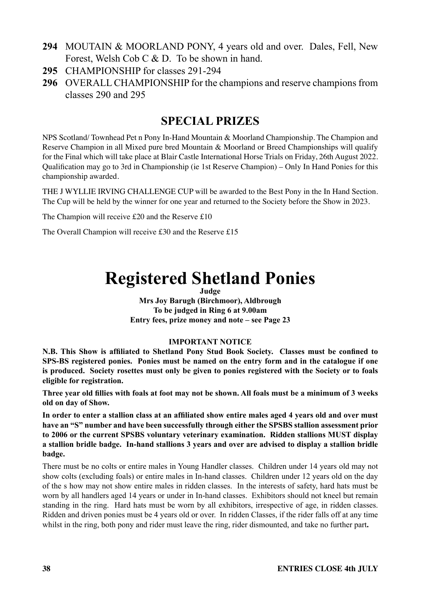- **294** MOUTAIN & MOORLAND PONY, 4 years old and over. Dales, Fell, New Forest, Welsh Cob C & D. To be shown in hand.
- **295** CHAMPIONSHIP for classes 291-294
- **296** OVERALL CHAMPIONSHIP for the champions and reserve champions from classes 290 and 295

NPS Scotland/ Townhead Pet n Pony In-Hand Mountain & Moorland Championship. The Champion and Reserve Champion in all Mixed pure bred Mountain & Moorland or Breed Championships will qualify for the Final which will take place at Blair Castle International Horse Trials on Friday, 26th August 2022. Qualification may go to 3rd in Championship (ie 1st Reserve Champion) – Only In Hand Ponies for this championship awarded.

THE J WYLLIE IRVING CHALLENGE CUP will be awarded to the Best Pony in the In Hand Section. The Cup will be held by the winner for one year and returned to the Society before the Show in 2023.

The Champion will receive £20 and the Reserve £10

The Overall Champion will receive £30 and the Reserve £15

## **Registered Shetland Ponies**

**Judge Mrs Joy Barugh (Birchmoor), Aldbrough To be judged in Ring 6 at 9.00am Entry fees, prize money and note – see Page 23**

#### **IMPORTANT NOTICE**

**N.B. This Show is affiliated to Shetland Pony Stud Book Society. Classes must be confined to SPS-BS registered ponies. Ponies must be named on the entry form and in the catalogue if one is produced. Society rosettes must only be given to ponies registered with the Society or to foals eligible for registration.** 

**Three year old fillies with foals at foot may not be shown. All foals must be a minimum of 3 weeks old on day of Show.** 

**In order to enter a stallion class at an affiliated show entire males aged 4 years old and over must have an "S" number and have been successfully through either the SPSBS stallion assessment prior to 2006 or the current SPSBS voluntary veterinary examination. Ridden stallions MUST display a stallion bridle badge. In-hand stallions 3 years and over are advised to display a stallion bridle badge.**

There must be no colts or entire males in Young Handler classes. Children under 14 years old may not show colts (excluding foals) or entire males in In-hand classes. Children under 12 years old on the day of the s how may not show entire males in ridden classes. In the interests of safety, hard hats must be worn by all handlers aged 14 years or under in In-hand classes. Exhibitors should not kneel but remain standing in the ring. Hard hats must be worn by all exhibitors, irrespective of age, in ridden classes. Ridden and driven ponies must be 4 years old or over. In ridden Classes, if the rider falls off at any time whilst in the ring, both pony and rider must leave the ring, rider dismounted, and take no further part.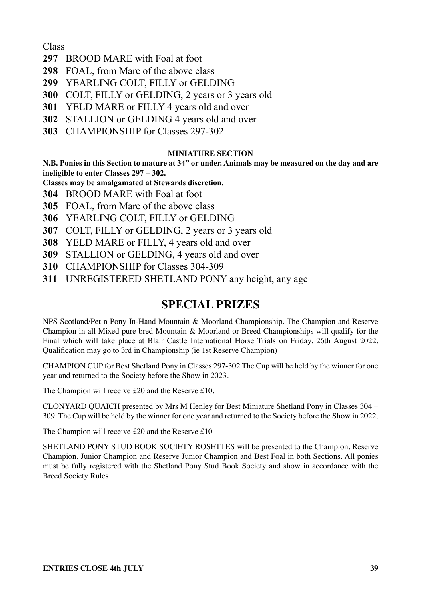Class

- **297** BROOD MARE with Foal at foot
- **298** FOAL, from Mare of the above class
- **299** YEARLING COLT, FILLY or GELDING
- **300** COLT, FILLY or GELDING, 2 years or 3 years old
- **301** YELD MARE or FILLY 4 years old and over
- **302** STALLION or GELDING 4 years old and over
- **303** CHAMPIONSHIP for Classes 297-302

#### **MINIATURE SECTION**

**N.B. Ponies in this Section to mature at 34" or under. Animals may be measured on the day and are ineligible to enter Classes 297 – 302.**

- **Classes may be amalgamated at Stewards discretion.**
- **304** BROOD MARE with Foal at foot
- **305** FOAL, from Mare of the above class
- **306** YEARLING COLT, FILLY or GELDING
- **307** COLT, FILLY or GELDING, 2 years or 3 years old
- **308** YELD MARE or FILLY, 4 years old and over
- **309** STALLION or GELDING, 4 years old and over
- **310** CHAMPIONSHIP for Classes 304-309
- **311** UNREGISTERED SHETLAND PONY any height, any age

### **SPECIAL PRIZES**

NPS Scotland/Pet n Pony In-Hand Mountain & Moorland Championship. The Champion and Reserve Champion in all Mixed pure bred Mountain & Moorland or Breed Championships will qualify for the Final which will take place at Blair Castle International Horse Trials on Friday, 26th August 2022. Qualification may go to 3rd in Championship (ie 1st Reserve Champion)

CHAMPION CUP for Best Shetland Pony in Classes 297-302 The Cup will be held by the winner for one year and returned to the Society before the Show in 2023.

The Champion will receive £20 and the Reserve £10.

CLONYARD QUAICH presented by Mrs M Henley for Best Miniature Shetland Pony in Classes 304 – 309. The Cup will be held by the winner for one year and returned to the Society before the Show in 2022.

The Champion will receive £20 and the Reserve £10

SHETLAND PONY STUD BOOK SOCIETY ROSETTES will be presented to the Champion, Reserve Champion, Junior Champion and Reserve Junior Champion and Best Foal in both Sections. All ponies must be fully registered with the Shetland Pony Stud Book Society and show in accordance with the Breed Society Rules.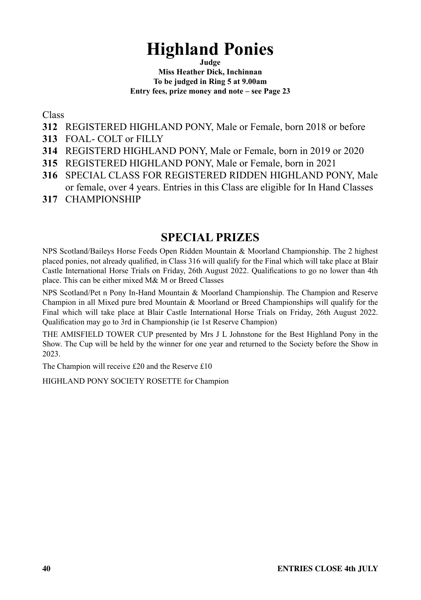## **Highland Ponies**

**Judge**

**Miss Heather Dick, Inchinnan To be judged in Ring 5 at 9.00am Entry fees, prize money and note – see Page 23**

Class

- **312** REGISTERED HIGHLAND PONY, Male or Female, born 2018 or before
- **313** FOAL- COLT or FILLY
- **314** REGISTERD HIGHLAND PONY, Male or Female, born in 2019 or 2020
- **315** REGISTERED HIGHLAND PONY, Male or Female, born in 2021
- **316** SPECIAL CLASS FOR REGISTERED RIDDEN HIGHLAND PONY, Male or female, over 4 years. Entries in this Class are eligible for In Hand Classes
- **317** CHAMPIONSHIP

### **SPECIAL PRIZES**

NPS Scotland/Baileys Horse Feeds Open Ridden Mountain & Moorland Championship. The 2 highest placed ponies, not already qualified, in Class 316 will qualify for the Final which will take place at Blair Castle International Horse Trials on Friday, 26th August 2022. Qualifications to go no lower than 4th place. This can be either mixed M& M or Breed Classes

NPS Scotland/Pet n Pony In-Hand Mountain & Moorland Championship. The Champion and Reserve Champion in all Mixed pure bred Mountain & Moorland or Breed Championships will qualify for the Final which will take place at Blair Castle International Horse Trials on Friday, 26th August 2022. Qualification may go to 3rd in Championship (ie 1st Reserve Champion)

THE AMISFIELD TOWER CUP presented by Mrs J L Johnstone for the Best Highland Pony in the Show. The Cup will be held by the winner for one year and returned to the Society before the Show in 2023.

The Champion will receive £20 and the Reserve £10

HIGHLAND PONY SOCIETY ROSETTE for Champion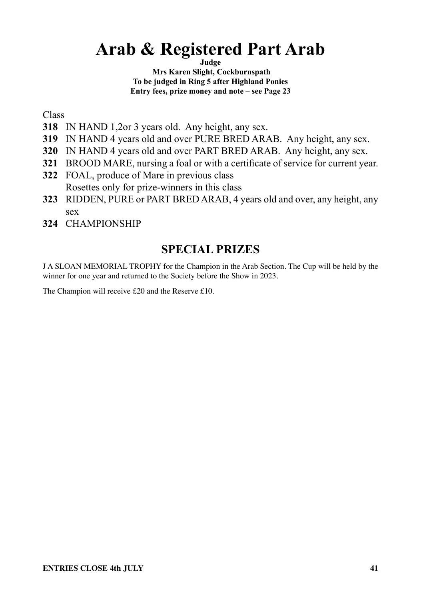## **Arab & Registered Part Arab**

**Judge Mrs Karen Slight, Cockburnspath To be judged in Ring 5 after Highland Ponies Entry fees, prize money and note – see Page 23**

Class

- **318** IN HAND 1,2or 3 years old. Any height, any sex.
- **319** IN HAND 4 years old and over PURE BRED ARAB. Any height, any sex.
- **320** IN HAND 4 years old and over PART BRED ARAB. Any height, any sex.
- **321** BROOD MARE, nursing a foal or with a certificate of service for current year.
- **322** FOAL, produce of Mare in previous class Rosettes only for prize-winners in this class
- **323** RIDDEN, PURE or PART BRED ARAB, 4 years old and over, any height, any sex
- **324** CHAMPIONSHIP

## **SPECIAL PRIZES**

J A SLOAN MEMORIAL TROPHY for the Champion in the Arab Section. The Cup will be held by the winner for one year and returned to the Society before the Show in 2023.

The Champion will receive £20 and the Reserve £10.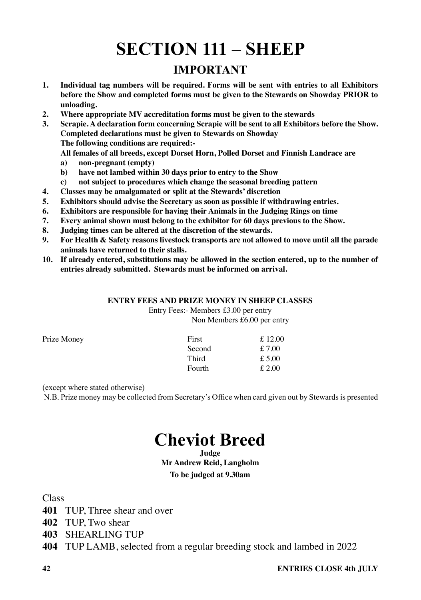# **SECTION 111 – SHEEP**

### **IMPORTANT**

- **1. Individual tag numbers will be required. Forms will be sent with entries to all Exhibitors before the Show and completed forms must be given to the Stewards on Showday PRIOR to unloading.**
- **2. Where appropriate MV accreditation forms must be given to the stewards**
- **3. Scrapie. A declaration form concerning Scrapie will be sent to all Exhibitors before the Show. Completed declarations must be given to Stewards on Showday The following conditions are required:-**

**All females of all breeds, except Dorset Horn, Polled Dorset and Finnish Landrace are**

- **a) non-pregnant (empty)**
- **b) have not lambed within 30 days prior to entry to the Show**
- **c) not subject to procedures which change the seasonal breeding pattern**
- **4. Classes may be amalgamated or split at the Stewards' discretion**
- **5. Exhibitors should advise the Secretary as soon as possible if withdrawing entries.**
- **6. Exhibitors are responsible for having their Animals in the Judging Rings on time**
- **7. Every animal shown must belong to the exhibitor for 60 days previous to the Show.**
- **8. Judging times can be altered at the discretion of the stewards.**
- **9. For Health & Safety reasons livestock transports are not allowed to move until all the parade animals have returned to their stalls.**
- **10. If already entered, substitutions may be allowed in the section entered, up to the number of entries already submitted. Stewards must be informed on arrival.**

#### **ENTRY FEES AND PRIZE MONEY IN SHEEP CLASSES**

Entry Fees:- Members £3.00 per entry Non Members £6.00 per entry

| Prize Money | First  | £12.00 |
|-------------|--------|--------|
|             | Second | £7.00  |
|             | Third  | £5.00  |
|             | Fourth | £2.00  |

(except where stated otherwise)

N.B. Prize money may be collected from Secretary's Office when card given out by Stewards is presented

## **Cheviot Breed**

#### **Judge Mr Andrew Reid, Langholm To be judged at 9.30am**

Class

- **401** TUP, Three shear and over
- **402** TUP, Two shear
- **403** SHEARLING TUP
- **404** TUP LAMB, selected from a regular breeding stock and lambed in 2022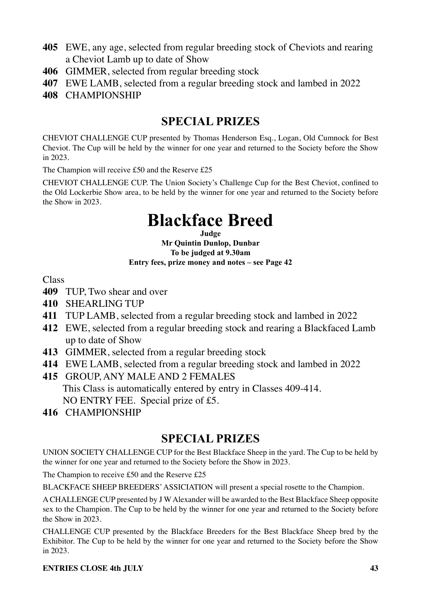- **405** EWE, any age, selected from regular breeding stock of Cheviots and rearing a Cheviot Lamb up to date of Show
- **406** GIMMER, selected from regular breeding stock
- **407** EWE LAMB, selected from a regular breeding stock and lambed in 2022
- **408** CHAMPIONSHIP

CHEVIOT CHALLENGE CUP presented by Thomas Henderson Esq., Logan, Old Cumnock for Best Cheviot. The Cup will be held by the winner for one year and returned to the Society before the Show in 2023.

The Champion will receive £50 and the Reserve £25

CHEVIOT CHALLENGE CUP. The Union Society's Challenge Cup for the Best Cheviot, confined to the Old Lockerbie Show area, to be held by the winner for one year and returned to the Society before the Show in 2023.

## **Blackface Breed**

**Judge Mr Quintin Dunlop, Dunbar To be judged at 9.30am Entry fees, prize money and notes – see Page 42** 

Class

- **409** TUP, Two shear and over
- **410** SHEARLING TUP
- **411** TUP LAMB, selected from a regular breeding stock and lambed in 2022
- **412** EWE, selected from a regular breeding stock and rearing a Blackfaced Lamb up to date of Show
- **413** GIMMER, selected from a regular breeding stock
- **414** EWE LAMB, selected from a regular breeding stock and lambed in 2022
- **415** GROUP, ANY MALE AND 2 FEMALES This Class is automatically entered by entry in Classes 409-414. NO ENTRY FEE. Special prize of £5.
- **416** CHAMPIONSHIP

### **SPECIAL PRIZES**

UNION SOCIETY CHALLENGE CUP for the Best Blackface Sheep in the yard. The Cup to be held by the winner for one year and returned to the Society before the Show in 2023.

The Champion to receive £50 and the Reserve £25

BLACKFACE SHEEP BREEDERS' ASSICIATION will present a special rosette to the Champion.

A CHALLENGE CUP presented by J W Alexander will be awarded to the Best Blackface Sheep opposite sex to the Champion. The Cup to be held by the winner for one year and returned to the Society before the Show in 2023.

CHALLENGE CUP presented by the Blackface Breeders for the Best Blackface Sheep bred by the Exhibitor. The Cup to be held by the winner for one year and returned to the Society before the Show in 2023.

#### **ENTRIES CLOSE 4th HILY** 43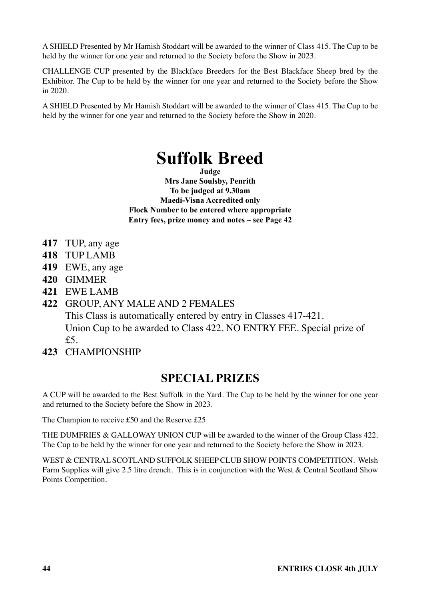A SHIELD Presented by Mr Hamish Stoddart will be awarded to the winner of Class 415. The Cup to be held by the winner for one year and returned to the Society before the Show in 2023.

CHALLENGE CUP presented by the Blackface Breeders for the Best Blackface Sheep bred by the Exhibitor. The Cup to be held by the winner for one year and returned to the Society before the Show in 2020.

A SHIELD Presented by Mr Hamish Stoddart will be awarded to the winner of Class 415. The Cup to be held by the winner for one year and returned to the Society before the Show in 2020.

## **Suffolk Breed**

**Judge**

**Mrs Jane Soulsby, Penrith To be judged at 9.30am Maedi-Visna Accredited only Flock Number to be entered where appropriate Entry fees, prize money and notes – see Page 42** 

- **417** TUP, any age
- **418** TUP LAMB
- **419** EWE, any age
- **420** GIMMER
- **421** EWE LAMB

#### **422** GROUP, ANY MALE AND 2 FEMALES

This Class is automatically entered by entry in Classes 417-421. Union Cup to be awarded to Class 422. NO ENTRY FEE. Special prize of  $f5$ 

**423** CHAMPIONSHIP

### **SPECIAL PRIZES**

A CUP will be awarded to the Best Suffolk in the Yard. The Cup to be held by the winner for one year and returned to the Society before the Show in 2023.

The Champion to receive £50 and the Reserve £25

THE DUMFRIES & GALLOWAY UNION CUP will be awarded to the winner of the Group Class 422. The Cup to be held by the winner for one year and returned to the Society before the Show in 2023.

WEST & CENTRAL SCOTLAND SUFFOLK SHEEP CLUB SHOW POINTS COMPETITION. Welsh Farm Supplies will give 2.5 litre drench. This is in conjunction with the West & Central Scotland Show Points Competition.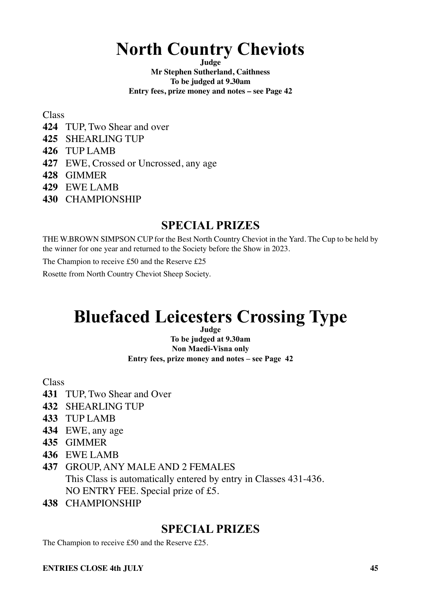## **North Country Cheviots**

**Judge**

**Mr Stephen Sutherland, Caithness To be judged at 9.30am Entry fees, prize money and notes – see Page 42** 

Class

- **424** TUP, Two Shear and over
- **425** SHEARLING TUP
- **426** TUP LAMB
- **427** EWE, Crossed or Uncrossed, any age
- **428** GIMMER
- **429** EWE LAMB
- **430** CHAMPIONSHIP

### **SPECIAL PRIZES**

THE W.BROWN SIMPSON CUP for the Best North Country Cheviot in the Yard. The Cup to be held by the winner for one year and returned to the Society before the Show in 2023.

The Champion to receive £50 and the Reserve £25

Rosette from North Country Cheviot Sheep Society.

## **Bluefaced Leicesters Crossing Type**

**Judge To be judged at 9.30am Non Maedi-Visna only Entry fees, prize money and notes – see Page 42** 

Class

- **431** TUP, Two Shear and Over
- **432** SHEARLING TUP
- **433** TUP LAMB
- **434** EWE, any age
- **435** GIMMER
- **436** EWE LAMB
- **437** GROUP, ANY MALE AND 2 FEMALES This Class is automatically entered by entry in Classes 431-436. NO ENTRY FEE. Special prize of £5.
- **438** CHAMPIONSHIP

### **SPECIAL PRIZES**

The Champion to receive £50 and the Reserve £25.

#### **ENTRIES CLOSE 4th HILY** 45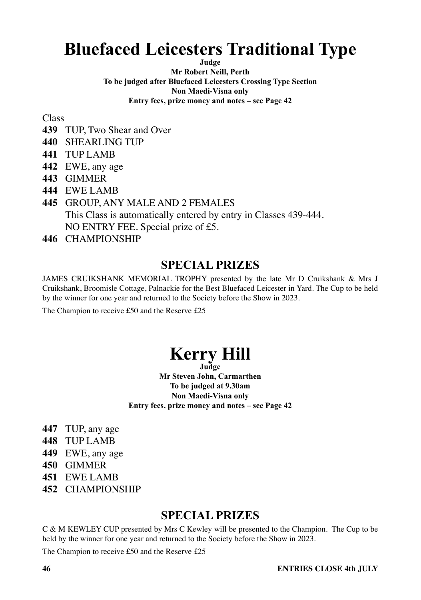## **Bluefaced Leicesters Traditional Type**

**Judge**

**Mr Robert Neill, Perth To be judged after Bluefaced Leicesters Crossing Type Section Non Maedi-Visna only Entry fees, prize money and notes – see Page 42** 

Class

- **439** TUP, Two Shear and Over
- **440** SHEARLING TUP
- **441** TUP LAMB
- **442** EWE, any age
- **443** GIMMER
- **444** EWE LAMB
- **445** GROUP, ANY MALE AND 2 FEMALES This Class is automatically entered by entry in Classes 439-444. NO ENTRY FEE. Special prize of £5.
- **446** CHAMPIONSHIP

### **SPECIAL PRIZES**

JAMES CRUIKSHANK MEMORIAL TROPHY presented by the late Mr D Cruikshank & Mrs J Cruikshank, Broomisle Cottage, Palnackie for the Best Bluefaced Leicester in Yard. The Cup to be held by the winner for one year and returned to the Society before the Show in 2023.

The Champion to receive £50 and the Reserve £25

# **Kerry Hill Judge**

**Mr Steven John, Carmarthen To be judged at 9.30am Non Maedi-Visna only Entry fees, prize money and notes – see Page 42** 

- **447** TUP, any age
- **448** TUP LAMB
- **449** EWE, any age
- **450** GIMMER
- **451** EWE LAMB
- **452** CHAMPIONSHIP

### **SPECIAL PRIZES**

C & M KEWLEY CUP presented by Mrs C Kewley will be presented to the Champion. The Cup to be held by the winner for one year and returned to the Society before the Show in 2023.

The Champion to receive £50 and the Reserve £25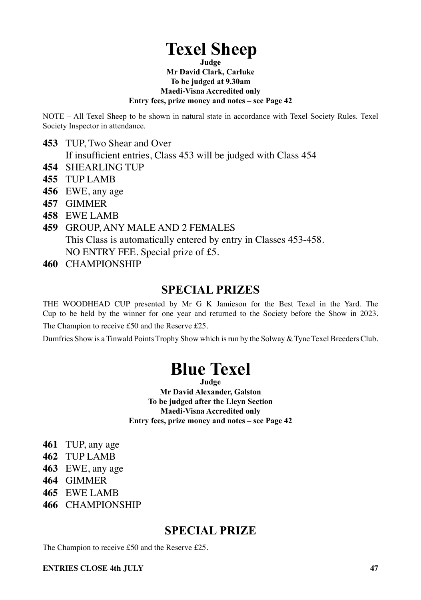## **Texel Sheep**

**Judge Mr David Clark, Carluke To be judged at 9.30am Maedi-Visna Accredited only Entry fees, prize money and notes – see Page 42** 

NOTE – All Texel Sheep to be shown in natural state in accordance with Texel Society Rules. Texel Society Inspector in attendance.

- **453** TUP, Two Shear and Over
	- If insufficient entries, Class 453 will be judged with Class 454
- **454** SHEARLING TUP
- **455** TUP LAMB
- **456** EWE, any age
- **457** GIMMER
- **458** EWE LAMB
- **459** GROUP, ANY MALE AND 2 FEMALES This Class is automatically entered by entry in Classes 453-458. NO ENTRY FEE. Special prize of £5.
- **460** CHAMPIONSHIP

### **SPECIAL PRIZES**

THE WOODHEAD CUP presented by Mr G K Jamieson for the Best Texel in the Yard. The Cup to be held by the winner for one year and returned to the Society before the Show in 2023.

The Champion to receive £50 and the Reserve £25.

Dumfries Show is a Tinwald Points Trophy Show which is run by the Solway & Tyne Texel Breeders Club.

## **Blue Texel**

**Judge Mr David Alexander, Galston To be judged after the Lleyn Section Maedi-Visna Accredited only Entry fees, prize money and notes – see Page 42**

- **461** TUP, any age
- **462** TUP LAMB
- **463** EWE, any age
- **464** GIMMER
- **465** EWE LAMB
- **466** CHAMPIONSHIP

### **SPECIAL PRIZE**

The Champion to receive £50 and the Reserve £25.

#### **ENTRIES CLOSE 4th HILY** 47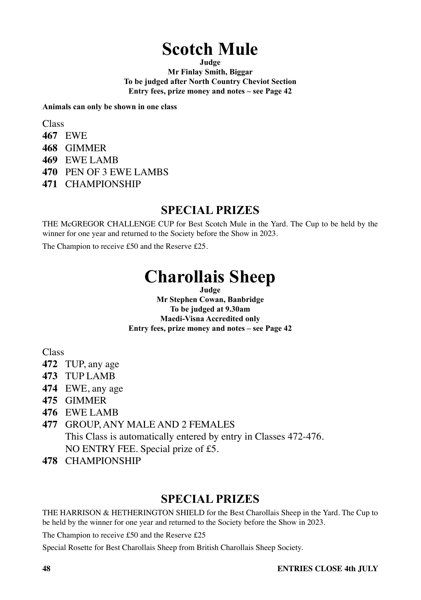## **Scotch Mule**

**Judge**

**Mr Finlay Smith, Biggar To be judged after North Country Cheviot Section Entry fees, prize money and notes – see Page 42** 

**Animals can only be shown in one class**

Class

- **467** EWE
- **468** GIMMER
- **469** EWE LAMB
- **470** PEN OF 3 EWE LAMBS
- **471** CHAMPIONSHIP

### **SPECIAL PRIZES**

THE McGREGOR CHALLENGE CUP for Best Scotch Mule in the Yard. The Cup to be held by the winner for one year and returned to the Society before the Show in 2023.

The Champion to receive £50 and the Reserve £25.

## **Charollais Sheep**

**Judge**

**Mr Stephen Cowan, Banbridge To be judged at 9.30am Maedi-Visna Accredited only Entry fees, prize money and notes – see Page 42** 

Class

- **472** TUP, any age
- **473** TUP LAMB
- **474** EWE, any age
- **475** GIMMER
- **476** EWE LAMB

### **477** GROUP, ANY MALE AND 2 FEMALES

This Class is automatically entered by entry in Classes 472-476.

NO ENTRY FEE. Special prize of £5.

**478** CHAMPIONSHIP

### **SPECIAL PRIZES**

THE HARRISON & HETHERINGTON SHIELD for the Best Charollais Sheep in the Yard. The Cup to be held by the winner for one year and returned to the Society before the Show in 2023.

The Champion to receive £50 and the Reserve £25

Special Rosette for Best Charollais Sheep from British Charollais Sheep Society.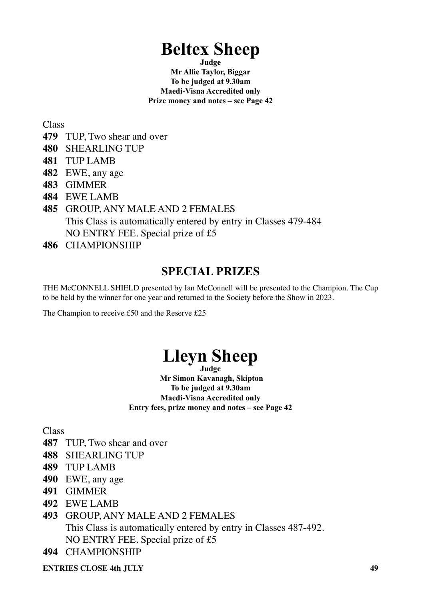## **Beltex Sheep**

**Judge Mr Alfie Taylor, Biggar To be judged at 9.30am Maedi-Visna Accredited only Prize money and notes – see Page 42** 

Class

- **479** TUP, Two shear and over
- **480** SHEARLING TUP
- **481** TUP LAMB
- **482** EWE, any age
- **483** GIMMER
- **484** EWE LAMB
- **485** GROUP, ANY MALE AND 2 FEMALES This Class is automatically entered by entry in Classes 479-484 NO ENTRY FEE. Special prize of £5
- **486** CHAMPIONSHIP

### **SPECIAL PRIZES**

THE McCONNELL SHIELD presented by Ian McConnell will be presented to the Champion. The Cup to be held by the winner for one year and returned to the Society before the Show in 2023.

The Champion to receive £50 and the Reserve £25

### **Lleyn Sheep Judge**

 **Mr Simon Kavanagh, Skipton To be judged at 9.30am Maedi-Visna Accredited only Entry fees, prize money and notes – see Page 42** 

**Class** 

- **487** TUP, Two shear and over
- **488** SHEARLING TUP
- **489** TUP LAMB
- **490** EWE, any age
- **491** GIMMER
- **492** EWE LAMB
- **493** GROUP, ANY MALE AND 2 FEMALES This Class is automatically entered by entry in Classes 487-492. NO ENTRY FEE. Special prize of £5
- **494** CHAMPIONSHIP

**ENTRIES CLOSE 4th HILY** 49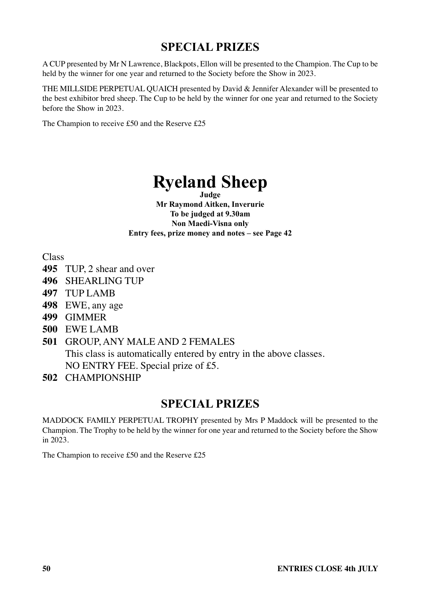A CUP presented by Mr N Lawrence, Blackpots, Ellon will be presented to the Champion. The Cup to be held by the winner for one year and returned to the Society before the Show in 2023.

THE MILLSIDE PERPETUAL QUAICH presented by David & Jennifer Alexander will be presented to the best exhibitor bred sheep. The Cup to be held by the winner for one year and returned to the Society before the Show in 2023.

The Champion to receive £50 and the Reserve £25

### **Ryeland Sheep Judge**

**Mr Raymond Aitken, Inverurie To be judged at 9.30am Non Maedi-Visna only Entry fees, prize money and notes – see Page 42** 

Class

- **495** TUP, 2 shear and over
- **496** SHEARLING TUP
- **497** TUP LAMB
- **498** EWE, any age
- **499** GIMMER
- **500** EWE LAMB
- **501** GROUP, ANY MALE AND 2 FEMALES This class is automatically entered by entry in the above classes. NO ENTRY FEE. Special prize of £5.
- **502** CHAMPIONSHIP

### **SPECIAL PRIZES**

MADDOCK FAMILY PERPETUAL TROPHY presented by Mrs P Maddock will be presented to the Champion. The Trophy to be held by the winner for one year and returned to the Society before the Show in 2023.

The Champion to receive £50 and the Reserve £25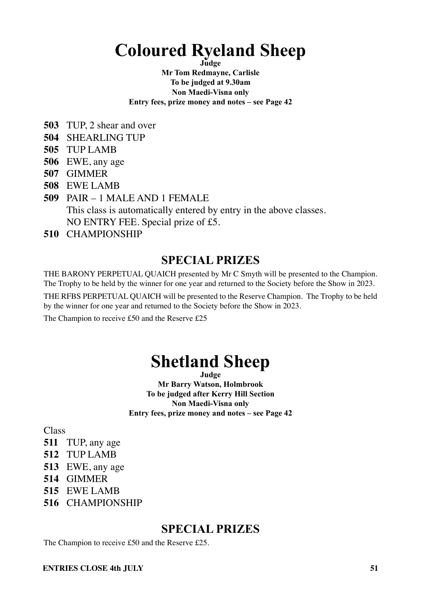## **Coloured Ryeland Sheep**

**Judge**

**Mr Tom Redmayne, Carlisle To be judged at 9.30am Non Maedi-Visna only Entry fees, prize money and notes – see Page 42**

- **503** TUP, 2 shear and over
- **504** SHEARLING TUP
- **505** TUP LAMB
- **506** EWE, any age
- **507** GIMMER
- **508** EWE LAMB
- **509** PAIR 1 MALE AND 1 FEMALE This class is automatically entered by entry in the above classes. NO ENTRY FEE. Special prize of £5.
- **510** CHAMPIONSHIP

### **SPECIAL PRIZES**

THE BARONY PERPETUAL QUAICH presented by Mr C Smyth will be presented to the Champion. The Trophy to be held by the winner for one year and returned to the Society before the Show in 2023.

THE RFBS PERPETUAL QUAICH will be presented to the Reserve Champion. The Trophy to be held by the winner for one year and returned to the Society before the Show in 2023.

The Champion to receive £50 and the Reserve £25

## **Shetland Sheep**

**Judge Mr Barry Watson, Holmbrook To be judged after Kerry Hill Section Non Maedi-Visna only Entry fees, prize money and notes – see Page 42** 

**Class** 

- **511** TUP, any age
- **512** TUP LAMB
- **513** EWE, any age
- **514** GIMMER
- **515** EWE LAMB
- **516** CHAMPIONSHIP

### **SPECIAL PRIZES**

The Champion to receive £50 and the Reserve £25.

#### **ENTRIES CLOSE 4th HILY** 51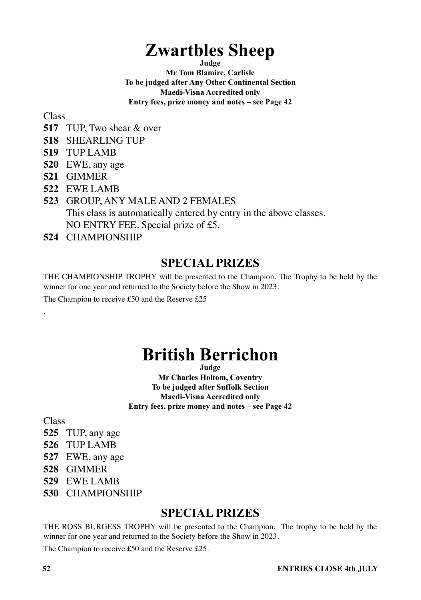## **Zwartbles Sheep**

**Judge**

**Mr Tom Blamire, Carlisle To be judged after Any Other Continental Section Maedi-Visna Accredited only Entry fees, prize money and notes – see Page 42** 

Class

- **517** TUP, Two shear & over
- **518** SHEARLING TUP
- **519** TUP LAMB
- **520** EWE, any age
- **521** GIMMER
- **522** EWE LAMB
- **523** GROUP, ANY MALE AND 2 FEMALES This class is automatically entered by entry in the above classes. NO ENTRY FEE. Special prize of £5.
- **524** CHAMPIONSHIP

### **SPECIAL PRIZES**

THE CHAMPIONSHIP TROPHY will be presented to the Champion. The Trophy to be held by the winner for one year and returned to the Society before the Show in 2023.

The Champion to receive £50 and the Reserve £25

## **British Berrichon**

**Judge** 

**Mr Charles Holtom, Coventry To be judged after Suffolk Section Maedi-Visna Accredited only Entry fees, prize money and notes – see Page 42** 

Class

.

- **525** TUP, any age
- **526** TUP LAMB
- **527** EWE, any age
- **528** GIMMER
- **529** EWE LAMB
- **530** CHAMPIONSHIP

### **SPECIAL PRIZES**

THE ROSS BURGESS TROPHY will be presented to the Champion. The trophy to be held by the winner for one year and returned to the Society before the Show in 2023.

The Champion to receive £50 and the Reserve £25.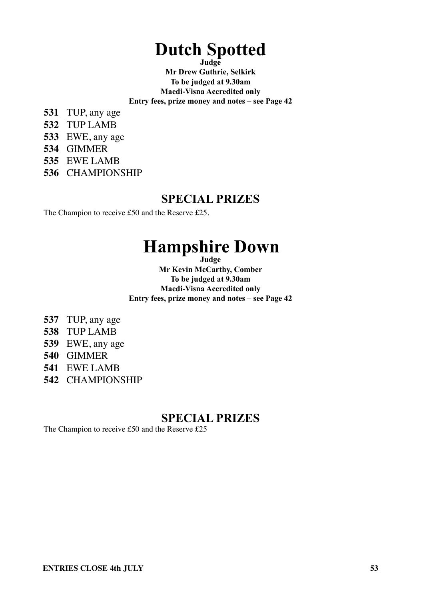# **Dutch Spotted Judge**

**Mr Drew Guthrie, Selkirk To be judged at 9.30am Maedi-Visna Accredited only Entry fees, prize money and notes – see Page 42** 

- **531** TUP, any age
- **532** TUP LAMB
- **533** EWE, any age
- **534** GIMMER
- **535** EWE LAMB
- **536** CHAMPIONSHIP

### **SPECIAL PRIZES**

The Champion to receive £50 and the Reserve £25.

## **Hampshire Down**

**Judge**

**Mr Kevin McCarthy, Comber To be judged at 9.30am Maedi-Visna Accredited only Entry fees, prize money and notes – see Page 42** 

- **537** TUP, any age
- **538** TUP LAMB
- **539** EWE, any age
- **540** GIMMER
- **541** EWE LAMB
- **542** CHAMPIONSHIP

### **SPECIAL PRIZES**

The Champion to receive £50 and the Reserve £25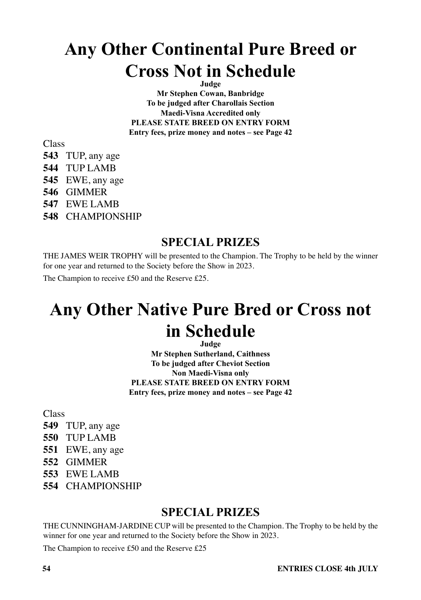## **Any Other Continental Pure Breed or Cross Not in Schedule**

**Judge Mr Stephen Cowan, Banbridge To be judged after Charollais Section Maedi-Visna Accredited only PLEASE STATE BREED ON ENTRY FORM Entry fees, prize money and notes – see Page 42**

Class

- **543** TUP, any age
- **544** TUP LAMB
- **545** EWE, any age
- **546** GIMMER
- **547** EWE LAMB
- **548** CHAMPIONSHIP

### **SPECIAL PRIZES**

THE JAMES WEIR TROPHY will be presented to the Champion. The Trophy to be held by the winner for one year and returned to the Society before the Show in 2023.

The Champion to receive £50 and the Reserve £25.

## **Any Other Native Pure Bred or Cross not in Schedule**

**Judge**

**Mr Stephen Sutherland, Caithness To be judged after Cheviot Section Non Maedi-Visna only PLEASE STATE BREED ON ENTRY FORM Entry fees, prize money and notes – see Page 42** 

Class

- **549** TUP, any age
- **550** TUP LAMB
- **551** EWE, any age
- **552** GIMMER
- **553** EWE LAMB
- **554** CHAMPIONSHIP

### **SPECIAL PRIZES**

THE CUNNINGHAM-JARDINE CUP will be presented to the Champion. The Trophy to be held by the winner for one year and returned to the Society before the Show in 2023.

The Champion to receive £50 and the Reserve £25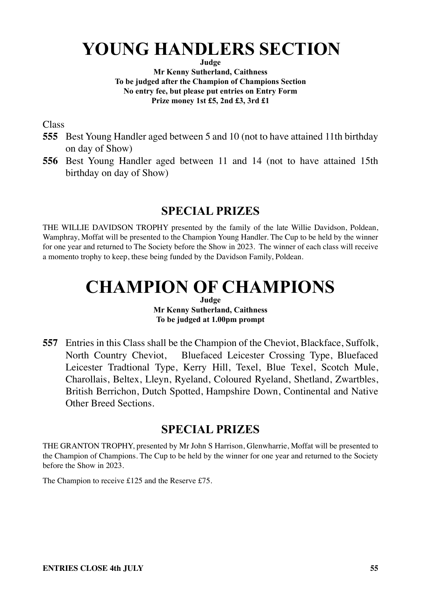## **YOUNG HANDLERS SECTION**

**Judge**

**Mr Kenny Sutherland, Caithness To be judged after the Champion of Champions Section No entry fee, but please put entries on Entry Form Prize money 1st £5, 2nd £3, 3rd £1**

Class

- **555** Best Young Handler aged between 5 and 10 (not to have attained 11th birthday on day of Show)
- **556** Best Young Handler aged between 11 and 14 (not to have attained 15th birthday on day of Show)

## **SPECIAL PRIZES**

THE WILLIE DAVIDSON TROPHY presented by the family of the late Willie Davidson, Poldean, Wamphray, Moffat will be presented to the Champion Young Handler. The Cup to be held by the winner for one year and returned to The Society before the Show in 2023. The winner of each class will receive a momento trophy to keep, these being funded by the Davidson Family, Poldean.

## **CHAMPION OF CHAMPIONS**

**Judge Mr Kenny Sutherland, Caithness To be judged at 1.00pm prompt**

**557** Entries in this Class shall be the Champion of the Cheviot, Blackface, Suffolk, North Country Cheviot, Bluefaced Leicester Crossing Type, Bluefaced Leicester Tradtional Type, Kerry Hill, Texel, Blue Texel, Scotch Mule, Charollais, Beltex, Lleyn, Ryeland, Coloured Ryeland, Shetland, Zwartbles, British Berrichon, Dutch Spotted, Hampshire Down, Continental and Native Other Breed Sections.

### **SPECIAL PRIZES**

THE GRANTON TROPHY, presented by Mr John S Harrison, Glenwharrie, Moffat will be presented to the Champion of Champions. The Cup to be held by the winner for one year and returned to the Society before the Show in 2023.

The Champion to receive £125 and the Reserve £75.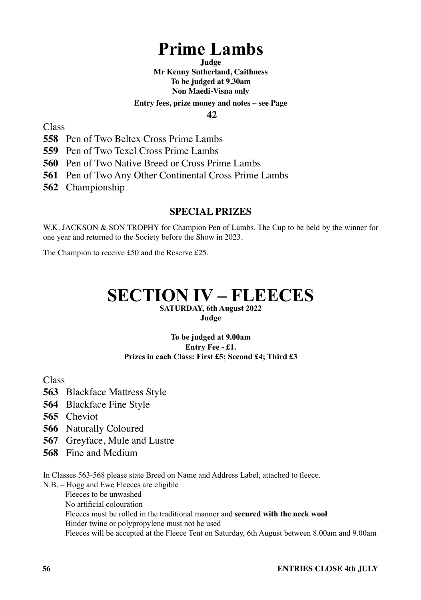## **Prime Lambs**

**Judge Mr Kenny Sutherland, Caithness To be judged at 9.30am Non Maedi-Visna only**

#### **Entry fees, prize money and notes – see Page**

 **42**

Class

**558** Pen of Two Beltex Cross Prime Lambs

**559** Pen of Two Texel Cross Prime Lambs

**560** Pen of Two Native Breed or Cross Prime Lambs

**561** Pen of Two Any Other Continental Cross Prime Lambs

**562** Championship

#### **SPECIAL PRIZES**

W.K. JACKSON & SON TROPHY for Champion Pen of Lambs. The Cup to be held by the winner for one year and returned to the Society before the Show in 2023.

The Champion to receive £50 and the Reserve £25.

### **SECTION IV – FLEECES SATURDAY, 6th August 2022**

**Judge**

#### **To be judged at 9.00am Entry Fee - £1. Prizes in each Class: First £5; Second £4; Third £3**

Class

- **563** Blackface Mattress Style
- **564** Blackface Fine Style
- **565** Cheviot
- **566** Naturally Coloured
- **567** Greyface, Mule and Lustre
- **568** Fine and Medium

In Classes 563-568 please state Breed on Name and Address Label, attached to fleece.

N.B. – Hogg and Ewe Fleeces are eligible

Fleeces to be unwashed

No artificial colouration

 Fleeces must be rolled in the traditional manner and **secured with the neck wool** Binder twine or polypropylene must not be used

Fleeces will be accepted at the Fleece Tent on Saturday, 6th August between 8.00am and 9.00am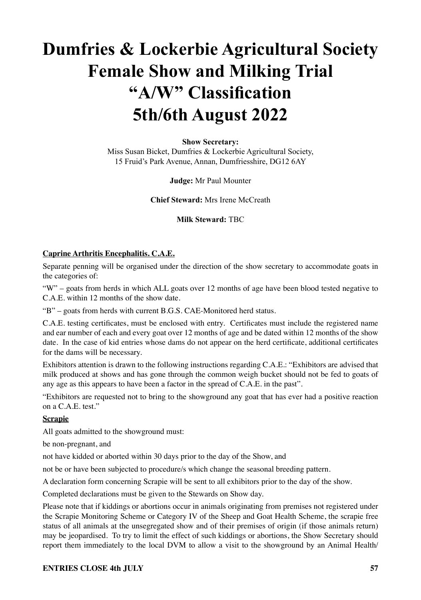## **Dumfries & Lockerbie Agricultural Society Female Show and Milking Trial "A/W" Classification 5th/6th August 2022**

#### **Show Secretary:**

Miss Susan Bicket, Dumfries & Lockerbie Agricultural Society, 15 Fruid's Park Avenue, Annan, Dumfriesshire, DG12 6AY

#### **Judge:** Mr Paul Mounter

#### **Chief Steward:** Mrs Irene McCreath

**Milk Steward:** TBC

#### **Caprine Arthritis Encephalitis. C.A.E.**

Separate penning will be organised under the direction of the show secretary to accommodate goats in the categories of:

"W" – goats from herds in which ALL goats over 12 months of age have been blood tested negative to C.A.E. within 12 months of the show date.

"B" – goats from herds with current B.G.S. CAE-Monitored herd status.

C.A.E. testing certificates, must be enclosed with entry. Certificates must include the registered name and ear number of each and every goat over 12 months of age and be dated within 12 months of the show date. In the case of kid entries whose dams do not appear on the herd certificate, additional certificates for the dams will be necessary.

Exhibitors attention is drawn to the following instructions regarding C.A.E.: "Exhibitors are advised that milk produced at shows and has gone through the common weigh bucket should not be fed to goats of any age as this appears to have been a factor in the spread of C.A.E. in the past".

"Exhibitors are requested not to bring to the showground any goat that has ever had a positive reaction on a C.A.E. test."

#### **Scrapie**

All goats admitted to the showground must:

be non-pregnant, and

not have kidded or aborted within 30 days prior to the day of the Show, and

not be or have been subjected to procedure/s which change the seasonal breeding pattern.

A declaration form concerning Scrapie will be sent to all exhibitors prior to the day of the show.

Completed declarations must be given to the Stewards on Show day.

Please note that if kiddings or abortions occur in animals originating from premises not registered under the Scrapie Monitoring Scheme or Category IV of the Sheep and Goat Health Scheme, the scrapie free status of all animals at the unsegregated show and of their premises of origin (if those animals return) may be jeopardised. To try to limit the effect of such kiddings or abortions, the Show Secretary should report them immediately to the local DVM to allow a visit to the showground by an Animal Health/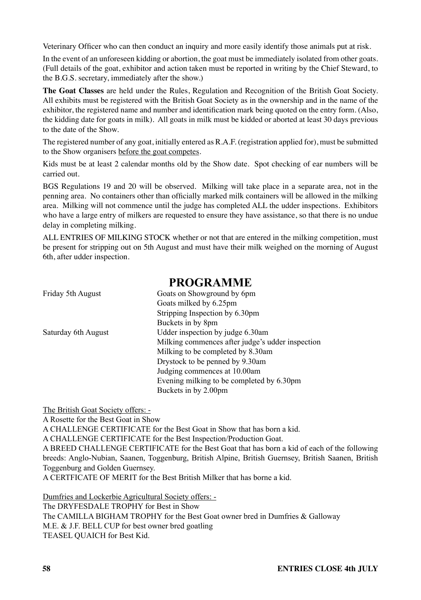Veterinary Officer who can then conduct an inquiry and more easily identify those animals put at risk.

In the event of an unforeseen kidding or abortion, the goat must be immediately isolated from other goats. (Full details of the goat, exhibitor and action taken must be reported in writing by the Chief Steward, to the B.G.S. secretary, immediately after the show.)

**The Goat Classes** are held under the Rules, Regulation and Recognition of the British Goat Society. All exhibits must be registered with the British Goat Society as in the ownership and in the name of the exhibitor, the registered name and number and identification mark being quoted on the entry form. (Also, the kidding date for goats in milk). All goats in milk must be kidded or aborted at least 30 days previous to the date of the Show.

The registered number of any goat, initially entered as R.A.F. (registration applied for), must be submitted to the Show organisers before the goat competes.

Kids must be at least 2 calendar months old by the Show date. Spot checking of ear numbers will be carried out.

BGS Regulations 19 and 20 will be observed. Milking will take place in a separate area, not in the penning area. No containers other than officially marked milk containers will be allowed in the milking area. Milking will not commence until the judge has completed ALL the udder inspections. Exhibitors who have a large entry of milkers are requested to ensure they have assistance, so that there is no undue delay in completing milking.

ALL ENTRIES OF MILKING STOCK whether or not that are entered in the milking competition, must be present for stripping out on 5th August and must have their milk weighed on the morning of August 6th, after udder inspection.

### **PROGRAMME**

| Goats on Showground by 6pm                       |
|--------------------------------------------------|
| Goats milked by 6.25pm                           |
| Stripping Inspection by 6.30pm                   |
| Buckets in by 8pm                                |
| Udder inspection by judge 6.30am                 |
| Milking commences after judge's udder inspection |
| Milking to be completed by 8.30am                |
| Drystock to be penned by 9.30am                  |
| Judging commences at 10.00am                     |
| Evening milking to be completed by 6.30pm        |
| Buckets in by 2.00pm                             |
|                                                  |

The British Goat Society offers: -

A Rosette for the Best Goat in Show

A CHALLENGE CERTIFICATE for the Best Goat in Show that has born a kid.

A CHALLENGE CERTIFICATE for the Best Inspection/Production Goat.

A BREED CHALLENGE CERTIFICATE for the Best Goat that has born a kid of each of the following breeds: Anglo-Nubian, Saanen, Toggenburg, British Alpine, British Guernsey, British Saanen, British Toggenburg and Golden Guernsey.

A CERTFICATE OF MERIT for the Best British Milker that has borne a kid.

Dumfries and Lockerbie Agricultural Society offers: - The DRYFESDALE TROPHY for Best in Show The CAMILLA BIGHAM TROPHY for the Best Goat owner bred in Dumfries & Galloway M.E. & J.F. BELL CUP for best owner bred goatling TEASEL QUAICH for Best Kid.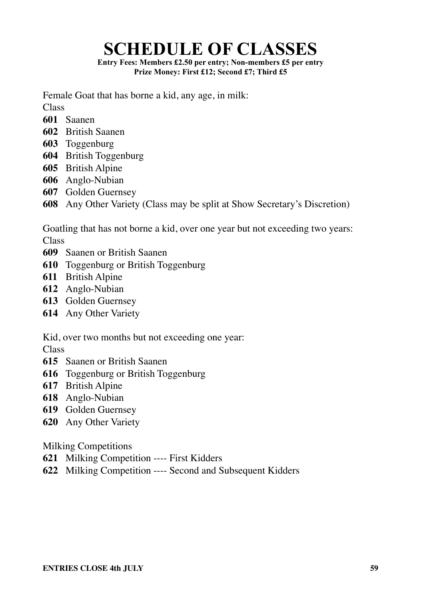## **SCHEDULE OF CLASSES**

**Entry Fees: Members £2.50 per entry; Non-members £5 per entry Prize Money: First £12; Second £7; Third £5**

Female Goat that has borne a kid, any age, in milk:

**Class** 

- Saanen
- British Saanen
- Toggenburg
- British Toggenburg
- British Alpine
- Anglo-Nubian
- Golden Guernsey
- Any Other Variety (Class may be split at Show Secretary's Discretion)

Goatling that has not borne a kid, over one year but not exceeding two years: Class

- Saanen or British Saanen
- Toggenburg or British Toggenburg
- British Alpine
- Anglo-Nubian
- Golden Guernsey
- Any Other Variety

Kid, over two months but not exceeding one year:

Class

- Saanen or British Saanen
- Toggenburg or British Toggenburg
- British Alpine
- Anglo-Nubian
- Golden Guernsey
- Any Other Variety

Milking Competitions

- Milking Competition ---- First Kidders
- Milking Competition ---- Second and Subsequent Kidders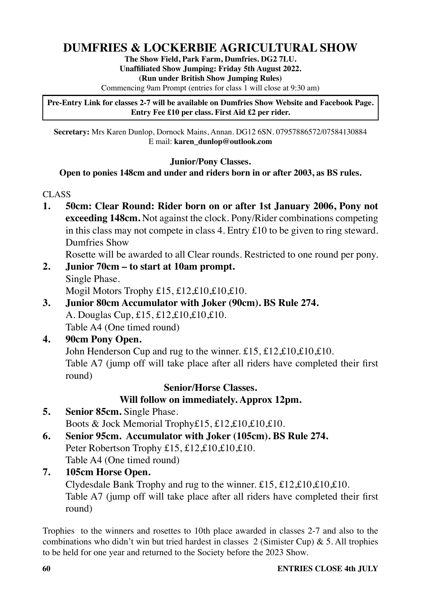## **DUMFRIES & LOCKERBIE AGRICULTURAL SHOW**

**The Show Field, Park Farm, Dumfries. DG2 7LU. Unaffiliated Show Jumping: Friday 5th August 2022. (Run under British Show Jumping Rules)**

Commencing 9am Prompt (entries for class 1 will close at 9:30 am)

**Pre-Entry Link for classes 2-7 will be available on Dumfries Show Website and Facebook Page. Entry Fee £10 per class. First Aid £2 per rider.**

**Secretary:** Mrs Karen Dunlop, Dornock Mains, Annan. DG12 6SN. 07957886572/07584130884 E mail: **karen\_dunlop@outlook.com**

#### **Junior/Pony Classes.**

#### **Open to ponies 148cm and under and riders born in or after 2003, as BS rules.**

#### CLASS

**1. 50cm: Clear Round: Rider born on or after 1st January 2006, Pony not exceeding 148cm.** Not against the clock. Pony/Rider combinations competing in this class may not compete in class 4. Entry £10 to be given to ring steward. Dumfries Show

Rosette will be awarded to all Clear rounds. Restricted to one round per pony.

- **2. Junior 70cm to start at 10am prompt.** Single Phase. Mogil Motors Trophy £15, £12,£10,£10,£10.
- **3. Junior 80cm Accumulator with Joker (90cm). BS Rule 274.** A. Douglas Cup, £15, £12,£10,£10,£10. Table A4 (One timed round)

#### **4. 90cm Pony Open.**

John Henderson Cup and rug to the winner. £15, £12,£10,£10,£10. Table A7 (jump off will take place after all riders have completed their first round)

#### **Senior/Horse Classes.**

#### **Will follow on immediately. Approx 12pm.**

- **5. Senior 85cm.** Single Phase. Boots & Jock Memorial Trophy£15, £12,£10,£10,£10.
- **6. Senior 95cm. Accumulator with Joker (105cm). BS Rule 274.**  Peter Robertson Trophy £15, £12,£10,£10,£10.

Table A4 (One timed round)

**7. 105cm Horse Open.** 

Clydesdale Bank Trophy and rug to the winner.  $£15, £12, £10, £10, £10$ . Table A7 (jump off will take place after all riders have completed their first round)

Trophies to the winners and rosettes to 10th place awarded in classes 2-7 and also to the combinations who didn't win but tried hardest in classes 2 (Simister Cup) & 5. All trophies to be held for one year and returned to the Society before the 2023 Show.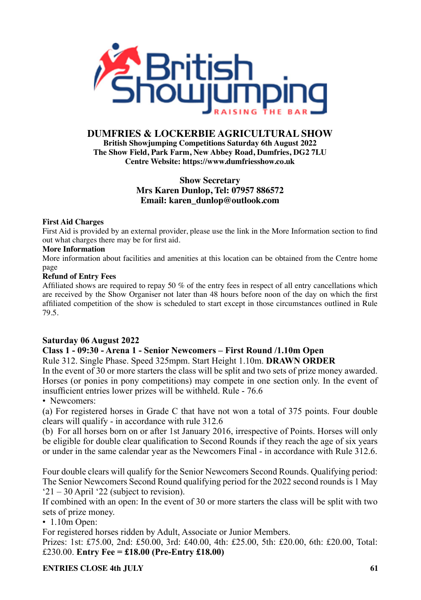

#### **DUMFRIES & LOCKERBIE AGRICULTURAL SHOW**

**British Showjumping Competitions Saturday 6th August 2022 The Show Field, Park Farm, New Abbey Road, Dumfries, DG2 7LU Centre Website: https://www.dumfriesshow.co.uk**

#### **Show Secretary Mrs Karen Dunlop, Tel: 07957 886572 Email: karen\_dunlop@outlook.com**

#### **First Aid Charges**

First Aid is provided by an external provider, please use the link in the More Information section to find out what charges there may be for first aid.

#### **More Information**

More information about facilities and amenities at this location can be obtained from the Centre home page

#### **Refund of Entry Fees**

Affiliated shows are required to repay 50 % of the entry fees in respect of all entry cancellations which are received by the Show Organiser not later than 48 hours before noon of the day on which the first affiliated competition of the show is scheduled to start except in those circumstances outlined in Rule 79.5.

#### **Saturday 06 August 2022**

#### **Class 1 - 09:30 - Arena 1 - Senior Newcomers – First Round /1.10m Open**

Rule 312. Single Phase. Speed 325mpm. Start Height 1.10m. **DRAWN ORDER**

In the event of 30 or more starters the class will be split and two sets of prize money awarded. Horses (or ponies in pony competitions) may compete in one section only. In the event of insufficient entries lower prizes will be withheld. Rule - 76.6

#### • Newcomers:

(a) For registered horses in Grade C that have not won a total of 375 points. Four double clears will qualify - in accordance with rule 312.6

(b) For all horses born on or after 1st January 2016, irrespective of Points. Horses will only be eligible for double clear qualification to Second Rounds if they reach the age of six years or under in the same calendar year as the Newcomers Final - in accordance with Rule 312.6.

Four double clears will qualify for the Senior Newcomers Second Rounds. Qualifying period: The Senior Newcomers Second Round qualifying period for the 2022 second rounds is 1 May '21 – 30 April '22 (subject to revision).

If combined with an open: In the event of 30 or more starters the class will be split with two sets of prize money.

• 1.10m Open:

For registered horses ridden by Adult, Associate or Junior Members.

Prizes: 1st: £75.00, 2nd: £50.00, 3rd: £40.00, 4th: £25.00, 5th: £20.00, 6th: £20.00, Total: £230.00. **Entry Fee = £18.00 (Pre-Entry £18.00)**

**ENTRIES CLOSE 4th HILY** 61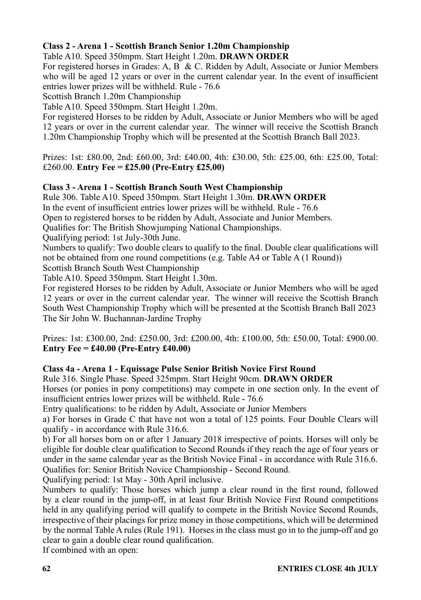#### **Class 2 - Arena 1 - Scottish Branch Senior 1.20m Championship**

Table A10. Speed 350mpm. Start Height 1.20m. **DRAWN ORDER**

For registered horses in Grades: A, B & C. Ridden by Adult, Associate or Junior Members who will be aged 12 years or over in the current calendar year. In the event of insufficient entries lower prizes will be withheld. Rule - 76.6

Scottish Branch 1.20m Championship

Table A10. Speed 350mpm. Start Height 1.20m.

For registered Horses to be ridden by Adult, Associate or Junior Members who will be aged 12 years or over in the current calendar year. The winner will receive the Scottish Branch 1.20m Championship Trophy which will be presented at the Scottish Branch Ball 2023.

Prizes: 1st: £80.00, 2nd: £60.00, 3rd: £40.00, 4th: £30.00, 5th: £25.00, 6th: £25.00, Total: £260.00. **Entry Fee = £25.00 (Pre-Entry £25.00)**

#### **Class 3 - Arena 1 - Scottish Branch South West Championship**

Rule 306. Table A10. Speed 350mpm. Start Height 1.30m. **DRAWN ORDER**

In the event of insufficient entries lower prizes will be withheld. Rule - 76.6

Open to registered horses to be ridden by Adult, Associate and Junior Members.

Qualifies for: The British Showjumping National Championships.

Qualifying period: 1st July-30th June.

Numbers to qualify: Two double clears to qualify to the final. Double clear qualifications will not be obtained from one round competitions (e.g. Table A4 or Table A (1 Round))

Scottish Branch South West Championship

Table A10. Speed 350mpm. Start Height 1.30m.

For registered Horses to be ridden by Adult, Associate or Junior Members who will be aged 12 years or over in the current calendar year. The winner will receive the Scottish Branch South West Championship Trophy which will be presented at the Scottish Branch Ball 2023 The Sir John W. Buchannan-Jardine Trophy

Prizes: 1st: £300.00, 2nd: £250.00, 3rd: £200.00, 4th: £100.00, 5th: £50.00, Total: £900.00. **Entry Fee = £40.00 (Pre-Entry £40.00)**

#### **Class 4a - Arena 1 - Equissage Pulse Senior British Novice First Round**

Rule 316. Single Phase. Speed 325mpm. Start Height 90cm. **DRAWN ORDER**

Horses (or ponies in pony competitions) may compete in one section only. In the event of insufficient entries lower prizes will be withheld. Rule - 76.6

Entry qualifications: to be ridden by Adult, Associate or Junior Members

a) For horses in Grade C that have not won a total of 125 points. Four Double Clears will qualify - in accordance with Rule 316.6.

b) For all horses born on or after 1 January 2018 irrespective of points. Horses will only be eligible for double clear qualification to Second Rounds if they reach the age of four years or under in the same calendar year as the British Novice Final - in accordance with Rule 316.6. Qualifies for: Senior British Novice Championship - Second Round.

Qualifying period: 1st May - 30th April inclusive.

Numbers to qualify: Those horses which jump a clear round in the first round, followed by a clear round in the jump-off, in at least four British Novice First Round competitions held in any qualifying period will qualify to compete in the British Novice Second Rounds, irrespective of their placings for prize money in those competitions, which will be determined by the normal Table A rules (Rule 191). Horses in the class must go in to the jump-off and go clear to gain a double clear round qualification.

If combined with an open: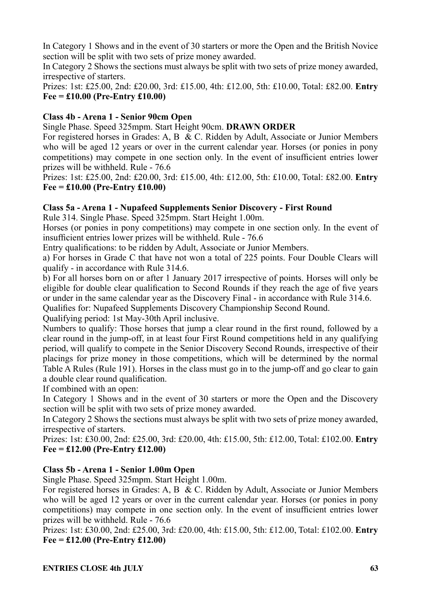In Category 1 Shows and in the event of 30 starters or more the Open and the British Novice section will be split with two sets of prize money awarded.

In Category 2 Shows the sections must always be split with two sets of prize money awarded, irrespective of starters.

Prizes: 1st: £25.00, 2nd: £20.00, 3rd: £15.00, 4th: £12.00, 5th: £10.00, Total: £82.00. **Entry Fee = £10.00 (Pre-Entry £10.00)**

#### **Class 4b - Arena 1 - Senior 90cm Open**

Single Phase. Speed 325mpm. Start Height 90cm. **DRAWN ORDER**

For registered horses in Grades: A, B & C. Ridden by Adult, Associate or Junior Members who will be aged 12 years or over in the current calendar year. Horses (or ponies in pony competitions) may compete in one section only. In the event of insufficient entries lower prizes will be withheld. Rule - 76.6

Prizes: 1st: £25.00, 2nd: £20.00, 3rd: £15.00, 4th: £12.00, 5th: £10.00, Total: £82.00. **Entry Fee = £10.00 (Pre-Entry £10.00)**

#### **Class 5a - Arena 1 - Nupafeed Supplements Senior Discovery - First Round**

Rule 314. Single Phase. Speed 325mpm. Start Height 1.00m.

Horses (or ponies in pony competitions) may compete in one section only. In the event of insufficient entries lower prizes will be withheld. Rule - 76.6

Entry qualifications: to be ridden by Adult, Associate or Junior Members.

a) For horses in Grade C that have not won a total of 225 points. Four Double Clears will qualify - in accordance with Rule 314.6.

b) For all horses born on or after 1 January 2017 irrespective of points. Horses will only be eligible for double clear qualification to Second Rounds if they reach the age of five years or under in the same calendar year as the Discovery Final - in accordance with Rule 314.6.

Qualifies for: Nupafeed Supplements Discovery Championship Second Round.

Qualifying period: 1st May-30th April inclusive.

Numbers to qualify: Those horses that jump a clear round in the first round, followed by a clear round in the jump-off, in at least four First Round competitions held in any qualifying period, will qualify to compete in the Senior Discovery Second Rounds, irrespective of their placings for prize money in those competitions, which will be determined by the normal Table A Rules (Rule 191). Horses in the class must go in to the jump-off and go clear to gain a double clear round qualification.

If combined with an open:

In Category 1 Shows and in the event of 30 starters or more the Open and the Discovery section will be split with two sets of prize money awarded.

In Category 2 Shows the sections must always be split with two sets of prize money awarded, irrespective of starters.

Prizes: 1st: £30.00, 2nd: £25.00, 3rd: £20.00, 4th: £15.00, 5th: £12.00, Total: £102.00. **Entry Fee = £12.00 (Pre-Entry £12.00)**

#### **Class 5b - Arena 1 - Senior 1.00m Open**

Single Phase. Speed 325mpm. Start Height 1.00m.

For registered horses in Grades: A, B & C. Ridden by Adult, Associate or Junior Members who will be aged 12 years or over in the current calendar year. Horses (or ponies in pony competitions) may compete in one section only. In the event of insufficient entries lower prizes will be withheld. Rule - 76.6

Prizes: 1st: £30.00, 2nd: £25.00, 3rd: £20.00, 4th: £15.00, 5th: £12.00, Total: £102.00. **Entry Fee = £12.00 (Pre-Entry £12.00)**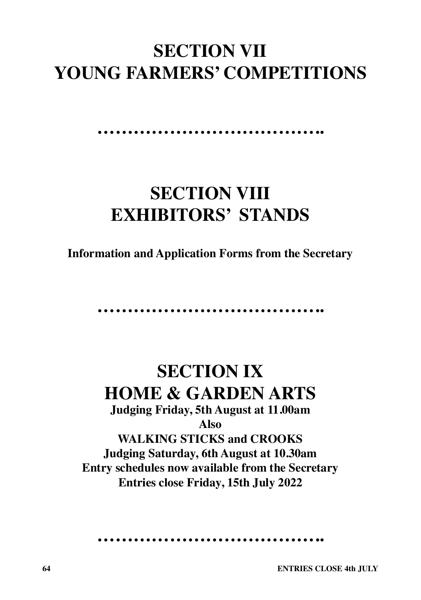## **SECTION VII YOUNG FARMERS' COMPETITIONS**

#### **………………………………..**

## **SECTION VIII EXHIBITORS' STANDS**

**Information and Application Forms from the Secretary**

**………………………………..**

**SECTION IX HOME & GARDEN ARTS Judging Friday, 5th August at 11.00am Also WALKING STICKS and CROOKS Judging Saturday, 6th August at 10.30am Entry schedules now available from the Secretary Entries close Friday, 15th July 2022**

**………………………………..**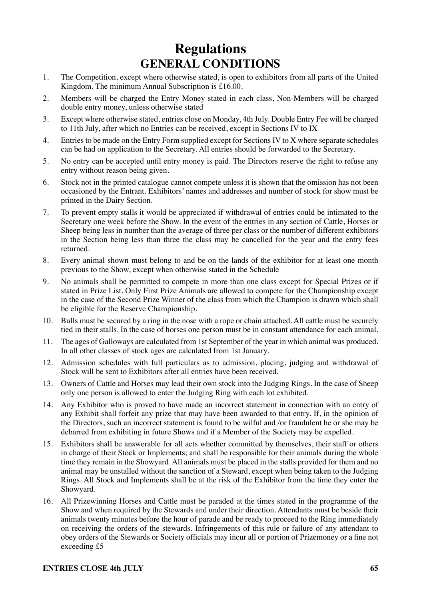## **Regulations GENERAL CONDITIONS**

- 1. The Competition, except where otherwise stated, is open to exhibitors from all parts of the United Kingdom. The minimum Annual Subscription is £16.00.
- 2. Members will be charged the Entry Money stated in each class, Non-Members will be charged double entry money, unless otherwise stated
- 3. Except where otherwise stated, entries close on Monday, 4th July. Double Entry Fee will be charged to 11th July, after which no Entries can be received, except in Sections IV to IX
- 4. Entries to be made on the Entry Form supplied except for Sections IV to X where separate schedules can be had on application to the Secretary. All entries should be forwarded to the Secretary.
- 5. No entry can be accepted until entry money is paid. The Directors reserve the right to refuse any entry without reason being given.
- 6. Stock not in the printed catalogue cannot compete unless it is shown that the omission has not been occasioned by the Entrant. Exhibitors' names and addresses and number of stock for show must be printed in the Dairy Section.
- 7. To prevent empty stalls it would be appreciated if withdrawal of entries could be intimated to the Secretary one week before the Show. In the event of the entries in any section of Cattle, Horses or Sheep being less in number than the average of three per class or the number of different exhibitors in the Section being less than three the class may be cancelled for the year and the entry fees returned.
- 8. Every animal shown must belong to and be on the lands of the exhibitor for at least one month previous to the Show, except when otherwise stated in the Schedule
- 9. No animals shall be permitted to compete in more than one class except for Special Prizes or if stated in Prize List. Only First Prize Animals are allowed to compete for the Championship except in the case of the Second Prize Winner of the class from which the Champion is drawn which shall be eligible for the Reserve Championship.
- 10. Bulls must be secured by a ring in the nose with a rope or chain attached. All cattle must be securely tied in their stalls. In the case of horses one person must be in constant attendance for each animal.
- 11. The ages of Galloways are calculated from 1st September of the year in which animal was produced. In all other classes of stock ages are calculated from 1st January.
- 12. Admission schedules with full particulars as to admission, placing, judging and withdrawal of Stock will be sent to Exhibitors after all entries have been received.
- 13. Owners of Cattle and Horses may lead their own stock into the Judging Rings. In the case of Sheep only one person is allowed to enter the Judging Ring with each lot exhibited.
- 14. Any Exhibitor who is proved to have made an incorrect statement in connection with an entry of any Exhibit shall forfeit any prize that may have been awarded to that entry. If, in the opinion of the Directors, such an incorrect statement is found to be wilful and /or fraudulent he or she may be debarred from exhibiting in future Shows and if a Member of the Society may be expelled.
- 15. Exhibitors shall be answerable for all acts whether committed by themselves, their staff or others in charge of their Stock or Implements; and shall be responsible for their animals during the whole time they remain in the Showyard. All animals must be placed in the stalls provided for them and no animal may be unstalled without the sanction of a Steward, except when being taken to the Judging Rings. All Stock and Implements shall be at the risk of the Exhibitor from the time they enter the Showyard.
- 16. All Prizewinning Horses and Cattle must be paraded at the times stated in the programme of the Show and when required by the Stewards and under their direction. Attendants must be beside their animals twenty minutes before the hour of parade and be ready to proceed to the Ring immediately on receiving the orders of the stewards. Infringements of this rule or failure of any attendant to obey orders of the Stewards or Society officials may incur all or portion of Prizemoney or a fine not exceeding £5

#### **ENTRIES CLOSE 4th JULY** 65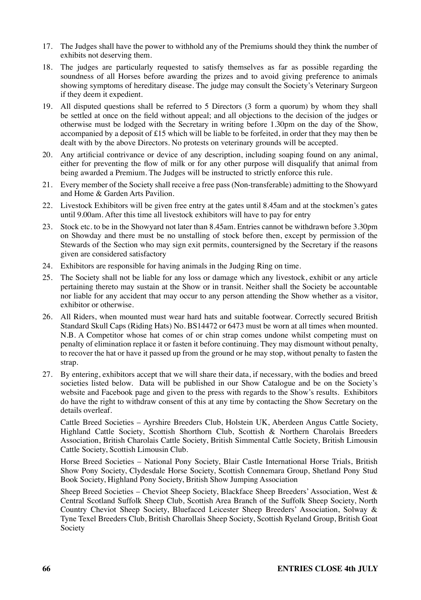- 17. The Judges shall have the power to withhold any of the Premiums should they think the number of exhibits not deserving them.
- 18. The judges are particularly requested to satisfy themselves as far as possible regarding the soundness of all Horses before awarding the prizes and to avoid giving preference to animals showing symptoms of hereditary disease. The judge may consult the Society's Veterinary Surgeon if they deem it expedient.
- 19. All disputed questions shall be referred to 5 Directors (3 form a quorum) by whom they shall be settled at once on the field without appeal; and all objections to the decision of the judges or otherwise must be lodged with the Secretary in writing before 1.30pm on the day of the Show, accompanied by a deposit of £15 which will be liable to be forfeited, in order that they may then be dealt with by the above Directors. No protests on veterinary grounds will be accepted.
- 20. Any artificial contrivance or device of any description, including soaping found on any animal, either for preventing the flow of milk or for any other purpose will disqualify that animal from being awarded a Premium. The Judges will be instructed to strictly enforce this rule.
- 21. Every member of the Society shall receive a free pass (Non-transferable) admitting to the Showyard and Home & Garden Arts Pavilion.
- 22. Livestock Exhibitors will be given free entry at the gates until 8.45am and at the stockmen's gates until 9.00am. After this time all livestock exhibitors will have to pay for entry
- 23. Stock etc. to be in the Showyard not later than 8.45am. Entries cannot be withdrawn before 3.30pm on Showday and there must be no unstalling of stock before then, except by permission of the Stewards of the Section who may sign exit permits, countersigned by the Secretary if the reasons given are considered satisfactory
- 24. Exhibitors are responsible for having animals in the Judging Ring on time.
- 25. The Society shall not be liable for any loss or damage which any livestock, exhibit or any article pertaining thereto may sustain at the Show or in transit. Neither shall the Society be accountable nor liable for any accident that may occur to any person attending the Show whether as a visitor, exhibitor or otherwise.
- 26. All Riders, when mounted must wear hard hats and suitable footwear. Correctly secured British Standard Skull Caps (Riding Hats) No. BS14472 or 6473 must be worn at all times when mounted. N.B. A Competitor whose hat comes of or chin strap comes undone whilst competing must on penalty of elimination replace it or fasten it before continuing. They may dismount without penalty, to recover the hat or have it passed up from the ground or he may stop, without penalty to fasten the strap.
- 27. By entering, exhibitors accept that we will share their data, if necessary, with the bodies and breed societies listed below. Data will be published in our Show Catalogue and be on the Society's website and Facebook page and given to the press with regards to the Show's results. Exhibitors do have the right to withdraw consent of this at any time by contacting the Show Secretary on the details overleaf.

Cattle Breed Societies – Ayrshire Breeders Club, Holstein UK, Aberdeen Angus Cattle Society, Highland Cattle Society, Scottish Shorthorn Club, Scottish & Northern Charolais Breeders Association, British Charolais Cattle Society, British Simmental Cattle Society, British Limousin Cattle Society, Scottish Limousin Club.

Horse Breed Societies – National Pony Society, Blair Castle International Horse Trials, British Show Pony Society, Clydesdale Horse Society, Scottish Connemara Group, Shetland Pony Stud Book Society, Highland Pony Society, British Show Jumping Association

Sheep Breed Societies – Cheviot Sheep Society, Blackface Sheep Breeders' Association, West & Central Scotland Suffolk Sheep Club, Scottish Area Branch of the Suffolk Sheep Society, North Country Cheviot Sheep Society, Bluefaced Leicester Sheep Breeders' Association, Solway & Tyne Texel Breeders Club, British Charollais Sheep Society, Scottish Ryeland Group, British Goat Society